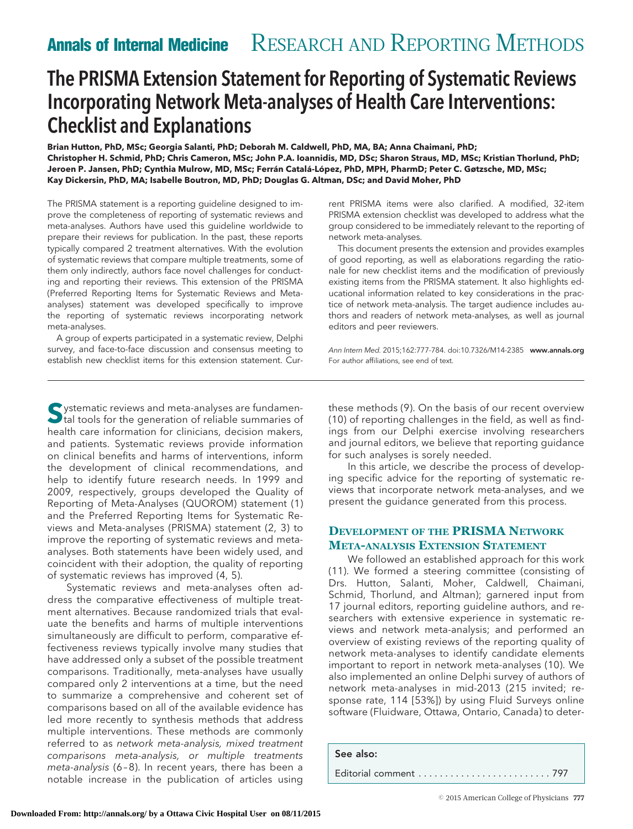# The PRISMA Extension Statement for Reporting of Systematic Reviews Incorporating Network Meta-analyses of Health Care Interventions: Checklist and Explanations

**Brian Hutton, PhD, MSc; Georgia Salanti, PhD; Deborah M. Caldwell, PhD, MA, BA; Anna Chaimani, PhD; Christopher H. Schmid, PhD; Chris Cameron, MSc; John P.A. Ioannidis, MD, DSc; Sharon Straus, MD, MSc; Kristian Thorlund, PhD;** Jeroen P. Jansen, PhD; Cynthia Mulrow, MD, MSc; Ferrán Catalá-López, PhD, MPH, PharmD; Peter C. Gøtzsche, MD, MSc; **Kay Dickersin, PhD, MA; Isabelle Boutron, MD, PhD; Douglas G. Altman, DSc; and David Moher, PhD**

The PRISMA statement is a reporting guideline designed to improve the completeness of reporting of systematic reviews and meta-analyses. Authors have used this guideline worldwide to prepare their reviews for publication. In the past, these reports typically compared 2 treatment alternatives. With the evolution of systematic reviews that compare multiple treatments, some of them only indirectly, authors face novel challenges for conducting and reporting their reviews. This extension of the PRISMA (Preferred Reporting Items for Systematic Reviews and Metaanalyses) statement was developed specifically to improve the reporting of systematic reviews incorporating network meta-analyses.

A group of experts participated in a systematic review, Delphi survey, and face-to-face discussion and consensus meeting to establish new checklist items for this extension statement. Cur-

rent PRISMA items were also clarified. A modified, 32-item PRISMA extension checklist was developed to address what the group considered to be immediately relevant to the reporting of network meta-analyses.

This document presents the extension and provides examples of good reporting, as well as elaborations regarding the rationale for new checklist items and the modification of previously existing items from the PRISMA statement. It also highlights educational information related to key considerations in the practice of network meta-analysis. The target audience includes authors and readers of network meta-analyses, as well as journal editors and peer reviewers.

Ann Intern Med. 2015;162:777-784. doi:10.7326/M14-2385 www.annals.org For author affiliations, see end of text.

**S**ystematic reviews and meta-analyses are fundamental tools for the generation of reliable summaries of health care information for clinicians, decision makers, and patients. Systematic reviews provide information on clinical benefits and harms of interventions, inform the development of clinical recommendations, and help to identify future research needs. In 1999 and 2009, respectively, groups developed the Quality of Reporting of Meta-Analyses (QUOROM) statement (1) and the Preferred Reporting Items for Systematic Reviews and Meta-analyses (PRISMA) statement (2, 3) to improve the reporting of systematic reviews and metaanalyses. Both statements have been widely used, and coincident with their adoption, the quality of reporting of systematic reviews has improved (4, 5).

Systematic reviews and meta-analyses often address the comparative effectiveness of multiple treatment alternatives. Because randomized trials that evaluate the benefits and harms of multiple interventions simultaneously are difficult to perform, comparative effectiveness reviews typically involve many studies that have addressed only a subset of the possible treatment comparisons. Traditionally, meta-analyses have usually compared only 2 interventions at a time, but the need to summarize a comprehensive and coherent set of comparisons based on all of the available evidence has led more recently to synthesis methods that address multiple interventions. These methods are commonly referred to as network meta-analysis, mixed treatment comparisons meta-analysis, or multiple treatments meta-analysis (6 – 8). In recent years, there has been a notable increase in the publication of articles using these methods (9). On the basis of our recent overview (10) of reporting challenges in the field, as well as findings from our Delphi exercise involving researchers and journal editors, we believe that reporting guidance for such analyses is sorely needed.

In this article, we describe the process of developing specific advice for the reporting of systematic reviews that incorporate network meta-analyses, and we present the guidance generated from this process.

# **DEVELOPMENT OF THE PRISMA NETWORK META-ANALYSIS EXTENSION STATEMENT**

We followed an established approach for this work (11). We formed a steering committee (consisting of Drs. Hutton, Salanti, Moher, Caldwell, Chaimani, Schmid, Thorlund, and Altman); garnered input from 17 journal editors, reporting guideline authors, and researchers with extensive experience in systematic reviews and network meta-analysis; and performed an overview of existing reviews of the reporting quality of network meta-analyses to identify candidate elements important to report in network meta-analyses (10). We also implemented an online Delphi survey of authors of network meta-analyses in mid-2013 (215 invited; response rate, 114 [53%]) by using Fluid Surveys online software (Fluidware, Ottawa, Ontario, Canada) to deter-

See also:

Editorial comment . . . . . . . . . . . . . . . . . . . . . . . . . 797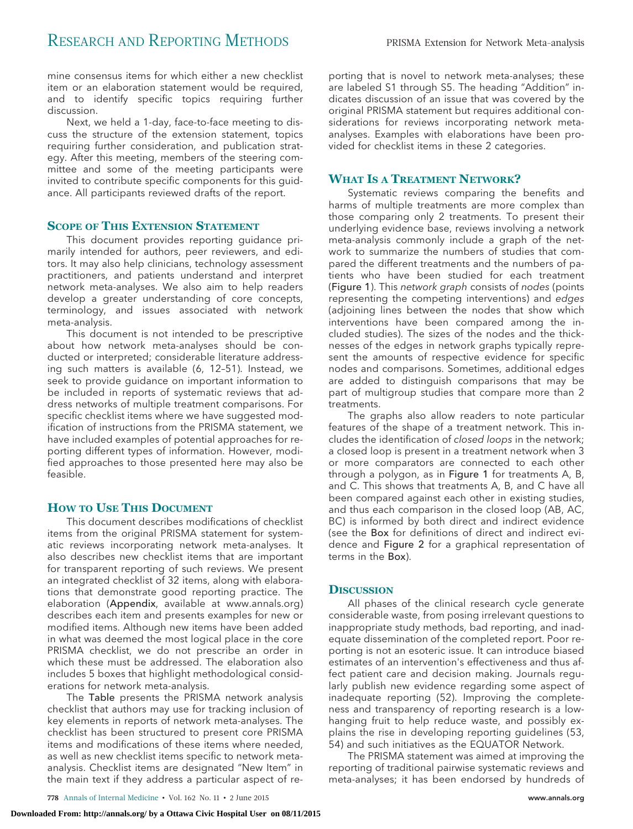mine consensus items for which either a new checklist item or an elaboration statement would be required, and to identify specific topics requiring further discussion.

Next, we held a 1-day, face-to-face meeting to discuss the structure of the extension statement, topics requiring further consideration, and publication strategy. After this meeting, members of the steering committee and some of the meeting participants were invited to contribute specific components for this guidance. All participants reviewed drafts of the report.

# **SCOPE OF THIS EXTENSION STATEMENT**

This document provides reporting guidance primarily intended for authors, peer reviewers, and editors. It may also help clinicians, technology assessment practitioners, and patients understand and interpret network meta-analyses. We also aim to help readers develop a greater understanding of core concepts, terminology, and issues associated with network meta-analysis.

This document is not intended to be prescriptive about how network meta-analyses should be conducted or interpreted; considerable literature addressing such matters is available (6, 12–51). Instead, we seek to provide guidance on important information to be included in reports of systematic reviews that address networks of multiple treatment comparisons. For specific checklist items where we have suggested modification of instructions from the PRISMA statement, we have included examples of potential approaches for reporting different types of information. However, modified approaches to those presented here may also be feasible.

# **HOW TO USE THIS DOCUMENT**

This document describes modifications of checklist items from the original PRISMA statement for systematic reviews incorporating network meta-analyses. It also describes new checklist items that are important for transparent reporting of such reviews. We present an integrated checklist of 32 items, along with elaborations that demonstrate good reporting practice. The elaboration (Appendix, available at [www.annals.org\)](http://www.annals.org) describes each item and presents examples for new or modified items. Although new items have been added in what was deemed the most logical place in the core PRISMA checklist, we do not prescribe an order in which these must be addressed. The elaboration also includes 5 boxes that highlight methodological considerations for network meta-analysis.

The Table presents the PRISMA network analysis checklist that authors may use for tracking inclusion of key elements in reports of network meta-analyses. The checklist has been structured to present core PRISMA items and modifications of these items where needed, as well as new checklist items specific to network metaanalysis. Checklist items are designated "New Item" in the main text if they address a particular aspect of reporting that is novel to network meta-analyses; these are labeled S1 through S5. The heading "Addition" indicates discussion of an issue that was covered by the original PRISMA statement but requires additional considerations for reviews incorporating network metaanalyses. Examples with elaborations have been provided for checklist items in these 2 categories.

# **WHAT IS A TREATMENT NETWORK?**

Systematic reviews comparing the benefits and harms of multiple treatments are more complex than those comparing only 2 treatments. To present their underlying evidence base, reviews involving a network meta-analysis commonly include a graph of the network to summarize the numbers of studies that compared the different treatments and the numbers of patients who have been studied for each treatment (Figure 1). This network graph consists of nodes (points representing the competing interventions) and edges (adjoining lines between the nodes that show which interventions have been compared among the included studies). The sizes of the nodes and the thicknesses of the edges in network graphs typically represent the amounts of respective evidence for specific nodes and comparisons. Sometimes, additional edges are added to distinguish comparisons that may be part of multigroup studies that compare more than 2 treatments.

The graphs also allow readers to note particular features of the shape of a treatment network. This includes the identification of closed loops in the network; a closed loop is present in a treatment network when 3 or more comparators are connected to each other through a polygon, as in Figure 1 for treatments A, B, and C. This shows that treatments A, B, and C have all been compared against each other in existing studies, and thus each comparison in the closed loop (AB, AC, BC) is informed by both direct and indirect evidence (see the Box for definitions of direct and indirect evidence and Figure 2 for a graphical representation of terms in the Box).

#### **DISCUSSION**

All phases of the clinical research cycle generate considerable waste, from posing irrelevant questions to inappropriate study methods, bad reporting, and inadequate dissemination of the completed report. Poor reporting is not an esoteric issue. It can introduce biased estimates of an intervention's effectiveness and thus affect patient care and decision making. Journals regularly publish new evidence regarding some aspect of inadequate reporting (52). Improving the completeness and transparency of reporting research is a lowhanging fruit to help reduce waste, and possibly explains the rise in developing reporting guidelines (53, 54) and such initiatives as the EQUATOR Network.

The PRISMA statement was aimed at improving the reporting of traditional pairwise systematic reviews and meta-analyses; it has been endorsed by hundreds of

**778** Annals of Internal Medicine • Vol. 162 No. 11 • 2 June 2015 www.annals.org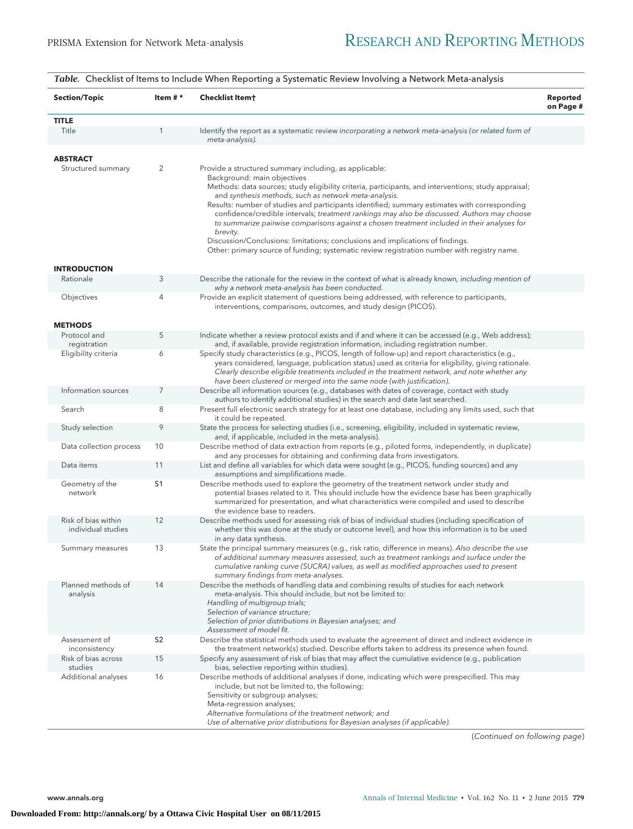| <b>Section/Topic</b>                      | Item $#*$      | Checklist Item†                                                                                                                                                                                                                                                                                                                                                                                                                                                                                                                                                                                                                                                                                                                                   | Reported<br>on Page # |
|-------------------------------------------|----------------|---------------------------------------------------------------------------------------------------------------------------------------------------------------------------------------------------------------------------------------------------------------------------------------------------------------------------------------------------------------------------------------------------------------------------------------------------------------------------------------------------------------------------------------------------------------------------------------------------------------------------------------------------------------------------------------------------------------------------------------------------|-----------------------|
| <b>TITLE</b>                              |                |                                                                                                                                                                                                                                                                                                                                                                                                                                                                                                                                                                                                                                                                                                                                                   |                       |
| Title                                     |                | Identify the report as a systematic review incorporating a network meta-analysis (or related form of<br>meta-analysis).                                                                                                                                                                                                                                                                                                                                                                                                                                                                                                                                                                                                                           |                       |
| <b>ABSTRACT</b>                           |                |                                                                                                                                                                                                                                                                                                                                                                                                                                                                                                                                                                                                                                                                                                                                                   |                       |
| Structured summary                        | $\overline{c}$ | Provide a structured summary including, as applicable:<br>Background: main objectives<br>Methods: data sources; study eligibility criteria, participants, and interventions; study appraisal;<br>and synthesis methods, such as network meta-analysis.<br>Results: number of studies and participants identified; summary estimates with corresponding<br>confidence/credible intervals; treatment rankings may also be discussed. Authors may choose<br>to summarize pairwise comparisons against a chosen treatment included in their analyses for<br>brevity.<br>Discussion/Conclusions: limitations; conclusions and implications of findings.<br>Other: primary source of funding; systematic review registration number with registry name. |                       |
| <b>INTRODUCTION</b>                       |                |                                                                                                                                                                                                                                                                                                                                                                                                                                                                                                                                                                                                                                                                                                                                                   |                       |
| Rationale                                 | 3              | Describe the rationale for the review in the context of what is already known, including mention of<br>why a network meta-analysis has been conducted.                                                                                                                                                                                                                                                                                                                                                                                                                                                                                                                                                                                            |                       |
| Objectives                                | 4              | Provide an explicit statement of questions being addressed, with reference to participants,<br>interventions, comparisons, outcomes, and study design (PICOS).                                                                                                                                                                                                                                                                                                                                                                                                                                                                                                                                                                                    |                       |
| <b>METHODS</b>                            |                |                                                                                                                                                                                                                                                                                                                                                                                                                                                                                                                                                                                                                                                                                                                                                   |                       |
| Protocol and<br>registration              | 5              | Indicate whether a review protocol exists and if and where it can be accessed (e.g., Web address);<br>and, if available, provide registration information, including registration number.                                                                                                                                                                                                                                                                                                                                                                                                                                                                                                                                                         |                       |
| Eligibility criteria                      | 6              | Specify study characteristics (e.g., PICOS, length of follow-up) and report characteristics (e.g.,<br>years considered, language, publication status) used as criteria for eligibility, giving rationale.<br>Clearly describe eligible treatments included in the treatment network, and note whether any<br>have been clustered or merged into the same node (with justification).                                                                                                                                                                                                                                                                                                                                                               |                       |
| Information sources                       | 7              | Describe all information sources (e.g., databases with dates of coverage, contact with study<br>authors to identify additional studies) in the search and date last searched.                                                                                                                                                                                                                                                                                                                                                                                                                                                                                                                                                                     |                       |
| Search                                    | 8              | Present full electronic search strategy for at least one database, including any limits used, such that<br>it could be repeated.                                                                                                                                                                                                                                                                                                                                                                                                                                                                                                                                                                                                                  |                       |
| Study selection                           | 9              | State the process for selecting studies (i.e., screening, eligibility, included in systematic review,<br>and, if applicable, included in the meta-analysis).                                                                                                                                                                                                                                                                                                                                                                                                                                                                                                                                                                                      |                       |
| Data collection process                   | 10             | Describe method of data extraction from reports (e.g., piloted forms, independently, in duplicate)<br>and any processes for obtaining and confirming data from investigators.                                                                                                                                                                                                                                                                                                                                                                                                                                                                                                                                                                     |                       |
| Data items                                | 11             | List and define all variables for which data were sought (e.g., PICOS, funding sources) and any<br>assumptions and simplifications made.                                                                                                                                                                                                                                                                                                                                                                                                                                                                                                                                                                                                          |                       |
| Geometry of the<br>network                | S <sub>1</sub> | Describe methods used to explore the geometry of the treatment network under study and<br>potential biases related to it. This should include how the evidence base has been graphically<br>summarized for presentation, and what characteristics were compiled and used to describe<br>the evidence base to readers.                                                                                                                                                                                                                                                                                                                                                                                                                             |                       |
| Risk of bias within<br>individual studies | 12             | Describe methods used for assessing risk of bias of individual studies (including specification of<br>whether this was done at the study or outcome level), and how this information is to be used<br>in any data synthesis.                                                                                                                                                                                                                                                                                                                                                                                                                                                                                                                      |                       |
| Summary measures                          | 13             | State the principal summary measures (e.g., risk ratio, difference in means). Also describe the use<br>of additional summary measures assessed, such as treatment rankings and surface under the<br>cumulative ranking curve (SUCRA) values, as well as modified approaches used to present<br>summary findings from meta-analyses.                                                                                                                                                                                                                                                                                                                                                                                                               |                       |
| Planned methods of<br>analysis            | 14             | Describe the methods of handling data and combining results of studies for each network<br>meta-analysis. This should include, but not be limited to:<br>Handling of multigroup trials;<br>Selection of variance structure;<br>Selection of prior distributions in Bayesian analyses; and<br>Assessment of model fit.                                                                                                                                                                                                                                                                                                                                                                                                                             |                       |
| Assessment of<br>inconsistency            | S <sub>2</sub> | Describe the statistical methods used to evaluate the agreement of direct and indirect evidence in<br>the treatment network(s) studied. Describe efforts taken to address its presence when found.                                                                                                                                                                                                                                                                                                                                                                                                                                                                                                                                                |                       |
| Risk of bias across<br>studies            | 15             | Specify any assessment of risk of bias that may affect the cumulative evidence (e.g., publication<br>bias, selective reporting within studies).                                                                                                                                                                                                                                                                                                                                                                                                                                                                                                                                                                                                   |                       |
| Additional analyses                       | 16             | Describe methods of additional analyses if done, indicating which were prespecified. This may<br>include, but not be limited to, the following:<br>Sensitivity or subgroup analyses;<br>Meta-regression analyses;<br>Alternative formulations of the treatment network; and<br>Use of alternative prior distributions for Bayesian analyses (if applicable).                                                                                                                                                                                                                                                                                                                                                                                      |                       |

*Table.* Checklist of Items to Include When Reporting a Systematic Review Involving a Network Meta-analysis

(Continued on following page)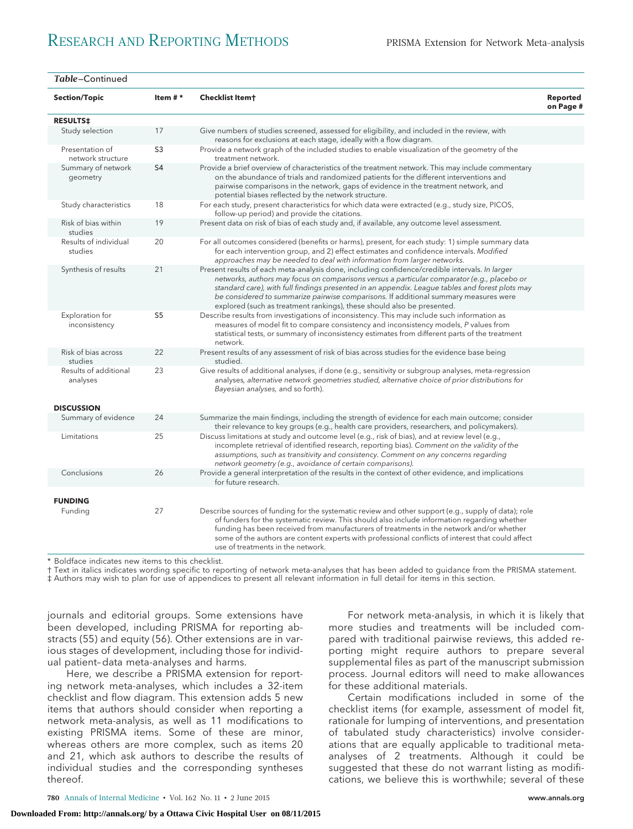| Table-Continued                      |                |                                                                                                                                                                                                                                                                                                                                                                                                                                                                    |                       |
|--------------------------------------|----------------|--------------------------------------------------------------------------------------------------------------------------------------------------------------------------------------------------------------------------------------------------------------------------------------------------------------------------------------------------------------------------------------------------------------------------------------------------------------------|-----------------------|
| <b>Section/Topic</b>                 | Item $#*$      | <b>Checklist Itemt</b>                                                                                                                                                                                                                                                                                                                                                                                                                                             | Reported<br>on Page # |
| <b>RESULTS‡</b>                      |                |                                                                                                                                                                                                                                                                                                                                                                                                                                                                    |                       |
| Study selection                      | 17             | Give numbers of studies screened, assessed for eligibility, and included in the review, with<br>reasons for exclusions at each stage, ideally with a flow diagram.                                                                                                                                                                                                                                                                                                 |                       |
| Presentation of<br>network structure | S <sub>3</sub> | Provide a network graph of the included studies to enable visualization of the geometry of the<br>treatment network.                                                                                                                                                                                                                                                                                                                                               |                       |
| Summary of network<br>geometry       | S <sub>4</sub> | Provide a brief overview of characteristics of the treatment network. This may include commentary<br>on the abundance of trials and randomized patients for the different interventions and<br>pairwise comparisons in the network, gaps of evidence in the treatment network, and<br>potential biases reflected by the network structure.                                                                                                                         |                       |
| Study characteristics                | 18             | For each study, present characteristics for which data were extracted (e.g., study size, PICOS,<br>follow-up period) and provide the citations.                                                                                                                                                                                                                                                                                                                    |                       |
| Risk of bias within<br>studies       | 19             | Present data on risk of bias of each study and, if available, any outcome level assessment.                                                                                                                                                                                                                                                                                                                                                                        |                       |
| Results of individual<br>studies     | 20             | For all outcomes considered (benefits or harms), present, for each study: 1) simple summary data<br>for each intervention group, and 2) effect estimates and confidence intervals. Modified<br>approaches may be needed to deal with information from larger networks.                                                                                                                                                                                             |                       |
| Synthesis of results                 | 21             | Present results of each meta-analysis done, including confidence/credible intervals. In larger<br>networks, authors may focus on comparisons versus a particular comparator (e.g., placebo or<br>standard care), with full findings presented in an appendix. League tables and forest plots may<br>be considered to summarize pairwise comparisons. If additional summary measures were<br>explored (such as treatment rankings), these should also be presented. |                       |
| Exploration for<br>inconsistency     | S <sub>5</sub> | Describe results from investigations of inconsistency. This may include such information as<br>measures of model fit to compare consistency and inconsistency models, P values from<br>statistical tests, or summary of inconsistency estimates from different parts of the treatment<br>network.                                                                                                                                                                  |                       |
| Risk of bias across<br>studies       | 22             | Present results of any assessment of risk of bias across studies for the evidence base being<br>studied.                                                                                                                                                                                                                                                                                                                                                           |                       |
| Results of additional<br>analyses    | 23             | Give results of additional analyses, if done (e.g., sensitivity or subgroup analyses, meta-regression<br>analyses, alternative network geometries studied, alternative choice of prior distributions for<br>Bayesian analyses, and so forth).                                                                                                                                                                                                                      |                       |
| <b>DISCUSSION</b>                    |                |                                                                                                                                                                                                                                                                                                                                                                                                                                                                    |                       |
| Summary of evidence                  | 24             | Summarize the main findings, including the strength of evidence for each main outcome; consider<br>their relevance to key groups (e.g., health care providers, researchers, and policymakers).                                                                                                                                                                                                                                                                     |                       |
| Limitations                          | 25             | Discuss limitations at study and outcome level (e.g., risk of bias), and at review level (e.g.,<br>incomplete retrieval of identified research, reporting bias). Comment on the validity of the<br>assumptions, such as transitivity and consistency. Comment on any concerns regarding<br>network geometry (e.g., avoidance of certain comparisons).                                                                                                              |                       |
| Conclusions                          | 26             | Provide a general interpretation of the results in the context of other evidence, and implications<br>for future research.                                                                                                                                                                                                                                                                                                                                         |                       |
| <b>FUNDING</b>                       |                |                                                                                                                                                                                                                                                                                                                                                                                                                                                                    |                       |
| Funding                              | 27             | Describe sources of funding for the systematic review and other support (e.g., supply of data); role<br>of funders for the systematic review. This should also include information regarding whether<br>funding has been received from manufacturers of treatments in the network and/or whether<br>some of the authors are content experts with professional conflicts of interest that could affect<br>use of treatments in the network.                         |                       |

\* Boldface indicates new items to this checklist.

† Text in italics indicates wording specific to reporting of network meta-analyses that has been added to guidance from the PRISMA statement.

‡ Authors may wish to plan for use of appendices to present all relevant information in full detail for items in this section.

journals and editorial groups. Some extensions have been developed, including PRISMA for reporting abstracts (55) and equity (56). Other extensions are in various stages of development, including those for individual patient–data meta-analyses and harms.

Here, we describe a PRISMA extension for reporting network meta-analyses, which includes a 32-item checklist and flow diagram. This extension adds 5 new items that authors should consider when reporting a network meta-analysis, as well as 11 modifications to existing PRISMA items. Some of these are minor, whereas others are more complex, such as items 20 and 21, which ask authors to describe the results of individual studies and the corresponding syntheses thereof.

For network meta-analysis, in which it is likely that more studies and treatments will be included compared with traditional pairwise reviews, this added reporting might require authors to prepare several supplemental files as part of the manuscript submission process. Journal editors will need to make allowances for these additional materials.

Certain modifications included in some of the checklist items (for example, assessment of model fit, rationale for lumping of interventions, and presentation of tabulated study characteristics) involve considerations that are equally applicable to traditional metaanalyses of 2 treatments. Although it could be suggested that these do not warrant listing as modifications, we believe this is worthwhile; several of these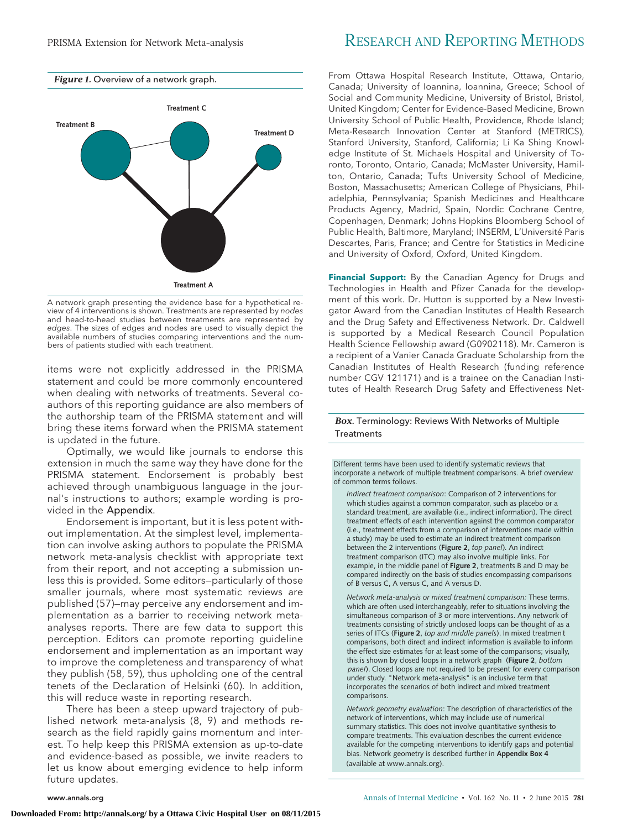



A network graph presenting the evidence base for a hypothetical review of 4 interventions is shown. Treatments are represented by nodes and head-to-head studies between treatments are represented by edges. The sizes of edges and nodes are used to visually depict the available numbers of studies comparing interventions and the numbers of patients studied with each treatment.

items were not explicitly addressed in the PRISMA statement and could be more commonly encountered when dealing with networks of treatments. Several coauthors of this reporting guidance are also members of the authorship team of the PRISMA statement and will bring these items forward when the PRISMA statement is updated in the future.

Optimally, we would like journals to endorse this extension in much the same way they have done for the PRISMA statement. Endorsement is probably best achieved through unambiguous language in the journal's instructions to authors; example wording is provided in the Appendix.

Endorsement is important, but it is less potent without implementation. At the simplest level, implementation can involve asking authors to populate the PRISMA network meta-analysis checklist with appropriate text from their report, and not accepting a submission unless this is provided. Some editors—particularly of those smaller journals, where most systematic reviews are published (57)—may perceive any endorsement and implementation as a barrier to receiving network metaanalyses reports. There are few data to support this perception. Editors can promote reporting guideline endorsement and implementation as an important way to improve the completeness and transparency of what they publish (58, 59), thus upholding one of the central tenets of the Declaration of Helsinki (60). In addition, this will reduce waste in reporting research.

There has been a steep upward trajectory of published network meta-analysis (8, 9) and methods research as the field rapidly gains momentum and interest. To help keep this PRISMA extension as up-to-date and evidence-based as possible, we invite readers to let us know about emerging evidence to help inform future updates.

# PRISMA Extension for Network Meta-analysis RESEARCH AND REPORTING METHODS

From Ottawa Hospital Research Institute, Ottawa, Ontario, Canada; University of Ioannina, Ioannina, Greece; School of Social and Community Medicine, University of Bristol, Bristol, United Kingdom; Center for Evidence-Based Medicine, Brown University School of Public Health, Providence, Rhode Island; Meta-Research Innovation Center at Stanford (METRICS), Stanford University, Stanford, California; Li Ka Shing Knowledge Institute of St. Michaels Hospital and University of Toronto, Toronto, Ontario, Canada; McMaster University, Hamilton, Ontario, Canada; Tufts University School of Medicine, Boston, Massachusetts; American College of Physicians, Philadelphia, Pennsylvania; Spanish Medicines and Healthcare Products Agency, Madrid, Spain, Nordic Cochrane Centre, Copenhagen, Denmark; Johns Hopkins Bloomberg School of Public Health, Baltimore, Maryland; INSERM, L'Université Paris Descartes, Paris, France; and Centre for Statistics in Medicine and University of Oxford, Oxford, United Kingdom.

**Financial Support:** By the Canadian Agency for Drugs and Technologies in Health and Pfizer Canada for the development of this work. Dr. Hutton is supported by a New Investigator Award from the Canadian Institutes of Health Research and the Drug Safety and Effectiveness Network. Dr. Caldwell is supported by a Medical Research Council Population Health Science Fellowship award (G0902118). Mr. Cameron is a recipient of a Vanier Canada Graduate Scholarship from the Canadian Institutes of Health Research (funding reference number CGV 121171) and is a trainee on the Canadian Institutes of Health Research Drug Safety and Effectiveness Net-

## *Box.* Terminology: Reviews With Networks of Multiple **Treatments**

Different terms have been used to identify systematic reviews that incorporate a network of multiple treatment comparisons. A brief overview of common terms follows.

*Indirect treatment comparison*: Comparison of 2 interventions for which studies against a common comparator, such as placebo or a standard treatment, are available (i.e., indirect information). The direct treatment effects of each intervention against the common comparator (i.e., treatment effects from a comparison of interventions made within a study) may be used to estimate an indirect treatment comparison between the 2 interventions (**Figure 2**, *top panel*). An indirect treatment comparison (ITC) may also involve multiple links. For example, in the middle panel of **Figure 2**, treatments B and D may be compared indirectly on the basis of studies encompassing comparisons of B versus C, A versus C, and A versus D.

*Network meta-analysis or mixed treatment comparison:* These terms, which are often used interchangeably, refer to situations involving the simultaneous comparison of 3 or more interventions. Any network of treatments consisting of strictly unclosed loops can be thought of as a series of ITCs (**Figure 2**, *top and middle panels*). In mixed treatment comparisons, both direct and indirect information is available to inform the effect size estimates for at least some of the comparisons; visually, this is shown by closed loops in a network graph (**Figure 2**, *bottom panel*). Closed loops are not required to be present for every comparison under study. "Network meta-analysis" is an inclusive term that incorporates the scenarios of both indirect and mixed treatment comparisons.

*Network geometry evaluation*: The description of characteristics of the network of interventions, which may include use of numerical summary statistics. This does not involve quantitative synthesis to compare treatments. This evaluation describes the current evidence available for the competing interventions to identify gaps and potential bias. Network geometry is described further in **Appendix Box 4**  (available at www.annals.org).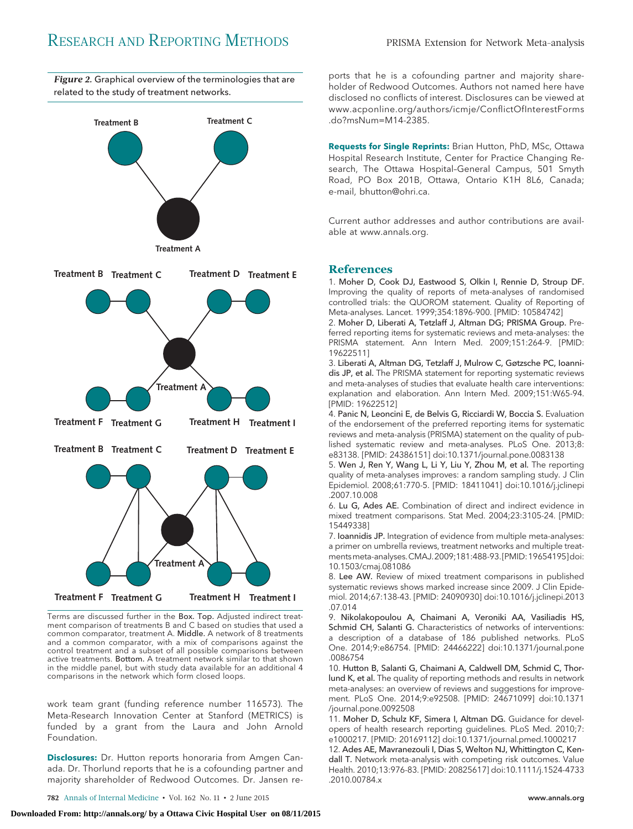



Terms are discussed further in the Box. Top. Adjusted indirect treatment comparison of treatments B and C based on studies that used a common comparator, treatment A. Middle. A network of 8 treatments and a common comparator, with a mix of comparisons against the control treatment and a subset of all possible comparisons between active treatments. Bottom. A treatment network similar to that shown in the middle panel, but with study data available for an additional 4 comparisons in the network which form closed loops.

work team grant (funding reference number 116573). The Meta-Research Innovation Center at Stanford (METRICS) is funded by a grant from the Laura and John Arnold Foundation.

**Disclosures:** Dr. Hutton reports honoraria from Amgen Canada. Dr. Thorlund reports that he is a cofounding partner and majority shareholder of Redwood Outcomes. Dr. Jansen re-

ports that he is a cofounding partner and majority shareholder of Redwood Outcomes. Authors not named here have disclosed no conflicts of interest. Disclosures can be viewed at [www.acponline.org/authors/icmje/ConflictOfInterestForms](http://www.acponline.org/authors/icmje/ConflictOfInterestForms.do?msNum=M14-2385) [.do?msNum=M14-2385.](http://www.acponline.org/authors/icmje/ConflictOfInterestForms.do?msNum=M14-2385)

**Requests for Single Reprints:** Brian Hutton, PhD, MSc, Ottawa Hospital Research Institute, Center for Practice Changing Research, The Ottawa Hospital–General Campus, 501 Smyth Road, PO Box 201B, Ottawa, Ontario K1H 8L6, Canada; e-mail, [bhutton@ohri.ca.](mailto:bhutton@ohri.ca)

Current author addresses and author contributions are available at [www.annals.org.](http://www.annals.org)

## **References**

1. Moher D, Cook DJ, Eastwood S, Olkin I, Rennie D, Stroup DF. Improving the quality of reports of meta-analyses of randomised controlled trials: the QUOROM statement. Quality of Reporting of Meta-analyses. Lancet. 1999;354:1896-900. [PMID: 10584742]

2. Moher D, Liberati A, Tetzlaff J, Altman DG; PRISMA Group. Preferred reporting items for systematic reviews and meta-analyses: the PRISMA statement. Ann Intern Med. 2009;151:264-9. [PMID: 19622511]

3. Liberati A, Altman DG, Tetzlaff J, Mulrow C, Gøtzsche PC, Ioannidis JP, et al. The PRISMA statement for reporting systematic reviews and meta-analyses of studies that evaluate health care interventions: explanation and elaboration. Ann Intern Med. 2009;151:W65-94. [PMID: 19622512]

4. Panic N, Leoncini E, de Belvis G, Ricciardi W, Boccia S. Evaluation of the endorsement of the preferred reporting items for systematic reviews and meta-analysis (PRISMA) statement on the quality of published systematic review and meta-analyses. PLoS One. 2013;8: e83138. [PMID: 24386151] doi:10.1371/journal.pone.0083138

5. Wen J, Ren Y, Wang L, Li Y, Liu Y, Zhou M, et al. The reporting quality of meta-analyses improves: a random sampling study. J Clin Epidemiol. 2008;61:770-5. [PMID: 18411041] doi:10.1016/j.jclinepi .2007.10.008

6. Lu G, Ades AE. Combination of direct and indirect evidence in mixed treatment comparisons. Stat Med. 2004;23:3105-24. [PMID: 15449338]

7. Ioannidis JP. Integration of evidence from multiple meta-analyses: a primer on umbrella reviews, treatment networks and multiple treatmentsmeta-analyses.CMAJ.2009;181:488-93. [PMID:19654195]doi: 10.1503/cmaj.081086

8. Lee AW. Review of mixed treatment comparisons in published systematic reviews shows marked increase since 2009. J Clin Epidemiol. 2014;67:138-43. [PMID: 24090930] doi:10.1016/j.jclinepi.2013 .07.014

9. Nikolakopoulou A, Chaimani A, Veroniki AA, Vasiliadis HS, Schmid CH, Salanti G. Characteristics of networks of interventions: a description of a database of 186 published networks. PLoS One. 2014;9:e86754. [PMID: 24466222] doi:10.1371/journal.pone .0086754

10. Hutton B, Salanti G, Chaimani A, Caldwell DM, Schmid C, Thorlund K, et al. The quality of reporting methods and results in network meta-analyses: an overview of reviews and suggestions for improvement. PLoS One. 2014;9:e92508. [PMID: 24671099] doi:10.1371 /journal.pone.0092508

11. Moher D, Schulz KF, Simera I, Altman DG. Guidance for developers of health research reporting guidelines. PLoS Med. 2010;7: e1000217. [PMID: 20169112] doi:10.1371/journal.pmed.1000217

12. Ades AE, Mavranezouli I, Dias S, Welton NJ, Whittington C, Kendall T. Network meta-analysis with competing risk outcomes. Value Health. 2010;13:976-83. [PMID: 20825617] doi:10.1111/j.1524-4733 .2010.00784.x

**782** Annals of Internal Medicine • Vol. 162 No. 11 • 2 June 2015 www.annals.org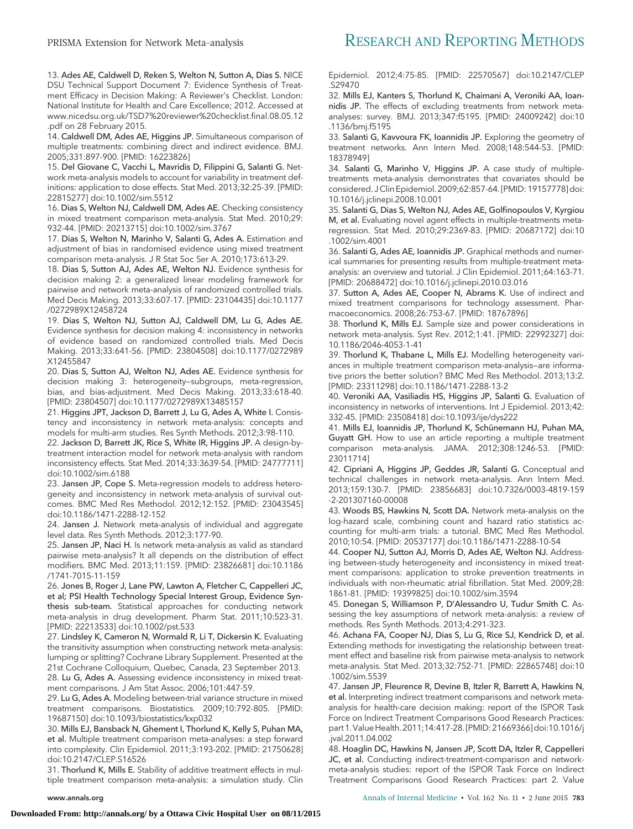13. Ades AE, Caldwell D, Reken S, Welton N, Sutton A, Dias S. NICE DSU Technical Support Document 7: Evidence Synthesis of Treatment Efficacy in Decision Making: A Reviewer's Checklist. London: National Institute for Health and Care Excellence; 2012. Accessed at [www.nicedsu.org.uk/TSD7%20reviewer%20checklist.final.08.05.12](http://www.nicedsu.org.uk/TSD7%20reviewer%20checklist.final.08.05.12.pdf) [.pdf](http://www.nicedsu.org.uk/TSD7%20reviewer%20checklist.final.08.05.12.pdf) on 28 February 2015.

14. Caldwell DM, Ades AE, Higgins JP. Simultaneous comparison of multiple treatments: combining direct and indirect evidence. BMJ. 2005;331:897-900. [PMID: 16223826]

15. Del Giovane C, Vacchi L, Mavridis D, Filippini G, Salanti G. Network meta-analysis models to account for variability in treatment definitions: application to dose effects. Stat Med. 2013;32:25-39. [PMID: 22815277] doi:10.1002/sim.5512

16. Dias S, Welton NJ, Caldwell DM, Ades AE. Checking consistency in mixed treatment comparison meta-analysis. Stat Med. 2010;29: 932-44. [PMID: 20213715] doi:10.1002/sim.3767

17. Dias S, Welton N, Marinho V, Salanti G, Ades A. Estimation and adjustment of bias in randomised evidence using mixed treatment comparison meta-analysis. J R Stat Soc Ser A. 2010;173:613-29.

18. Dias S, Sutton AJ, Ades AE, Welton NJ. Evidence synthesis for decision making 2: a generalized linear modeling framework for pairwise and network meta-analysis of randomized controlled trials. Med Decis Making. 2013;33:607-17. [PMID: 23104435] doi:10.1177 /0272989X12458724

19. Dias S, Welton NJ, Sutton AJ, Caldwell DM, Lu G, Ades AE. Evidence synthesis for decision making 4: inconsistency in networks of evidence based on randomized controlled trials. Med Decis Making. 2013;33:641-56. [PMID: 23804508] doi:10.1177/0272989 X12455847

20. Dias S, Sutton AJ, Welton NJ, Ades AE. Evidence synthesis for decision making 3: heterogeneity—subgroups, meta-regression, bias, and bias-adjustment. Med Decis Making. 2013;33:618-40. [PMID: 23804507] doi:10.1177/0272989X13485157

21. Higgins JPT, Jackson D, Barrett J, Lu G, Ades A, White I. Consistency and inconsistency in network meta-analysis: concepts and models for multi-arm studies. Res Synth Methods. 2012;3:98-110.

22. Jackson D, Barrett JK, Rice S, White IR, Higgins JP. A design-bytreatment interaction model for network meta-analysis with random inconsistency effects. Stat Med. 2014;33:3639-54. [PMID: 24777711] doi:10.1002/sim.6188

23. Jansen JP, Cope S. Meta-regression models to address heterogeneity and inconsistency in network meta-analysis of survival outcomes. BMC Med Res Methodol. 2012;12:152. [PMID: 23043545] doi:10.1186/1471-2288-12-152

24. Jansen J. Network meta-analysis of individual and aggregate level data. Res Synth Methods. 2012;3:177-90.

25. Jansen JP, Naci H. Is network meta-analysis as valid as standard pairwise meta-analysis? It all depends on the distribution of effect modifiers. BMC Med. 2013;11:159. [PMID: 23826681] doi:10.1186 /1741-7015-11-159

26. Jones B, Roger J, Lane PW, Lawton A, Fletcher C, Cappelleri JC, et al; PSI Health Technology Special Interest Group, Evidence Synthesis sub-team. Statistical approaches for conducting network meta-analysis in drug development. Pharm Stat. 2011;10:523-31. [PMID: 22213533] doi:10.1002/pst.533

27. Lindsley K, Cameron N, Wormald R, Li T, Dickersin K. Evaluating the transitivity assumption when constructing network meta-analysis: lumping or splitting? Cochrane Library Supplement. Presented at the 21st Cochrane Colloquium, Quebec, Canada, 23 September 2013. 28. Lu G, Ades A. Assessing evidence inconsistency in mixed treatment comparisons. J Am Stat Assoc. 2006;101:447-59.

29. Lu G, Ades A. Modeling between-trial variance structure in mixed treatment comparisons. Biostatistics. 2009;10:792-805. [PMID: 19687150] doi:10.1093/biostatistics/kxp032

30. Mills EJ, Bansback N, Ghement I, Thorlund K, Kelly S, Puhan MA, et al. Multiple treatment comparison meta-analyses: a step forward into complexity. Clin Epidemiol. 2011;3:193-202. [PMID: 21750628] doi:10.2147/CLEP.S16526

31. Thorlund K, Mills E. Stability of additive treatment effects in multiple treatment comparison meta-analysis: a simulation study. Clin Epidemiol. 2012;4:75-85. [PMID: 22570567] doi:10.2147/CLEP .S29470

32. Mills EJ, Kanters S, Thorlund K, Chaimani A, Veroniki AA, Ioannidis JP. The effects of excluding treatments from network metaanalyses: survey. BMJ. 2013;347:f5195. [PMID: 24009242] doi:10 .1136/bmj.f5195

33. Salanti G, Kavvoura FK, Ioannidis JP. Exploring the geometry of treatment networks. Ann Intern Med. 2008;148:544-53. [PMID: 18378949]

34. Salanti G, Marinho V, Higgins JP. A case study of multipletreatments meta-analysis demonstrates that covariates should be considered. J Clin Epidemiol. 2009;62:857-64. [PMID: 19157778] doi: 10.1016/j.jclinepi.2008.10.001

35. Salanti G, Dias S, Welton NJ, Ades AE, Golfinopoulos V, Kyrgiou M, et al. Evaluating novel agent effects in multiple-treatments metaregression. Stat Med. 2010;29:2369-83. [PMID: 20687172] doi:10 .1002/sim.4001

36. Salanti G, Ades AE, Ioannidis JP. Graphical methods and numerical summaries for presenting results from multiple-treatment metaanalysis: an overview and tutorial. J Clin Epidemiol. 2011;64:163-71. [PMID: 20688472] doi:10.1016/j.jclinepi.2010.03.016

37. Sutton A, Ades AE, Cooper N, Abrams K. Use of indirect and mixed treatment comparisons for technology assessment. Pharmacoeconomics. 2008;26:753-67. [PMID: 18767896]

38. Thorlund K, Mills EJ. Sample size and power considerations in network meta-analysis. Syst Rev. 2012;1:41. [PMID: 22992327] doi: 10.1186/2046-4053-1-41

39. Thorlund K, Thabane L, Mills EJ. Modelling heterogeneity variances in multiple treatment comparison meta-analysis—are informative priors the better solution? BMC Med Res Methodol. 2013;13:2. [PMID: 23311298] doi:10.1186/1471-2288-13-2

40. Veroniki AA, Vasiliadis HS, Higgins JP, Salanti G. Evaluation of inconsistency in networks of interventions. Int J Epidemiol. 2013;42: 332-45. [PMID: 23508418] doi:10.1093/ije/dys222

41. Mills EJ, Ioannidis JP, Thorlund K, Schünemann HJ, Puhan MA, Guyatt GH. How to use an article reporting a multiple treatment comparison meta-analysis. JAMA. 2012;308:1246-53. [PMID: 23011714]

42. Cipriani A, Higgins JP, Geddes JR, Salanti G. Conceptual and technical challenges in network meta-analysis. Ann Intern Med. 2013;159:130-7. [PMID: 23856683] doi:10.7326/0003-4819-159 -2-201307160-00008

43. Woods BS, Hawkins N, Scott DA. Network meta-analysis on the log-hazard scale, combining count and hazard ratio statistics accounting for multi-arm trials: a tutorial. BMC Med Res Methodol. 2010;10:54. [PMID: 20537177] doi:10.1186/1471-2288-10-54

44. Cooper NJ, Sutton AJ, Morris D, Ades AE, Welton NJ. Addressing between-study heterogeneity and inconsistency in mixed treatment comparisons: application to stroke prevention treatments in individuals with non-rheumatic atrial fibrillation. Stat Med. 2009;28: 1861-81. [PMID: 19399825] doi:10.1002/sim.3594

45. Donegan S, Williamson P, D'Alessandro U, Tudur Smith C. Assessing the key assumptions of network meta-analysis: a review of methods. Res Synth Methods. 2013;4:291-323.

46. Achana FA, Cooper NJ, Dias S, Lu G, Rice SJ, Kendrick D, et al. Extending methods for investigating the relationship between treatment effect and baseline risk from pairwise meta-analysis to network meta-analysis. Stat Med. 2013;32:752-71. [PMID: 22865748] doi:10 .1002/sim.5539

47. Jansen JP, Fleurence R, Devine B, Itzler R, Barrett A, Hawkins N, et al. Interpreting indirect treatment comparisons and network metaanalysis for health-care decision making: report of the ISPOR Task Force on Indirect Treatment Comparisons Good Research Practices: part 1.ValueHealth. 2011;14:417-28. [PMID: 21669366]doi:10.1016/j .jval.2011.04.002

48. Hoaglin DC, Hawkins N, Jansen JP, Scott DA, Itzler R, Cappelleri JC, et al. Conducting indirect-treatment-comparison and networkmeta-analysis studies: report of the ISPOR Task Force on Indirect Treatment Comparisons Good Research Practices: part 2. Value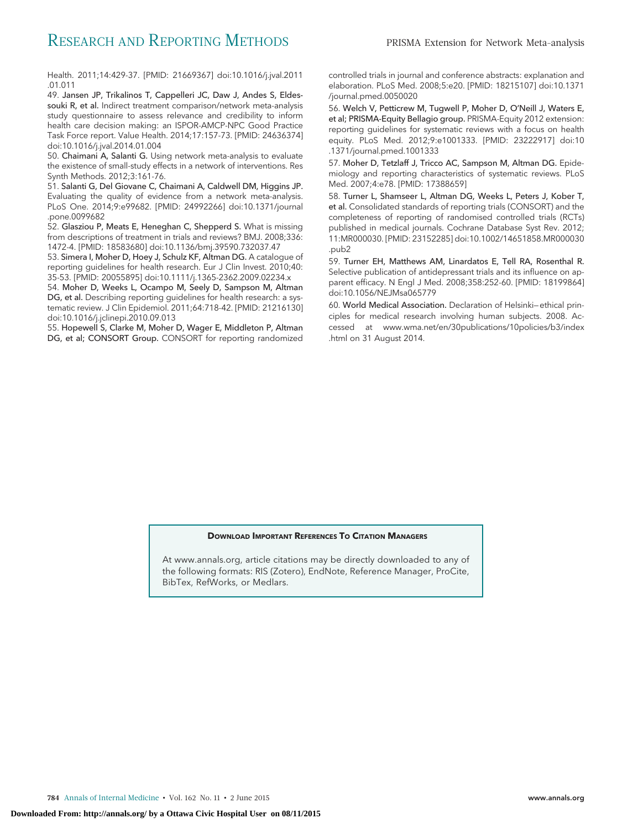Health. 2011;14:429-37. [PMID: 21669367] doi:10.1016/j.jval.2011 .01.011

49. Jansen JP, Trikalinos T, Cappelleri JC, Daw J, Andes S, Eldessouki R, et al. Indirect treatment comparison/network meta-analysis study questionnaire to assess relevance and credibility to inform health care decision making: an ISPOR-AMCP-NPC Good Practice Task Force report. Value Health. 2014;17:157-73. [PMID: 24636374] doi:10.1016/j.jval.2014.01.004

50. Chaimani A, Salanti G. Using network meta-analysis to evaluate the existence of small-study effects in a network of interventions. Res Synth Methods. 2012;3:161-76.

51. Salanti G, Del Giovane C, Chaimani A, Caldwell DM, Higgins JP. Evaluating the quality of evidence from a network meta-analysis. PLoS One. 2014;9:e99682. [PMID: 24992266] doi:10.1371/journal .pone.0099682

52. Glasziou P, Meats E, Heneghan C, Shepperd S. What is missing from descriptions of treatment in trials and reviews? BMJ. 2008;336: 1472-4. [PMID: 18583680] doi:10.1136/bmj.39590.732037.47

53. Simera I, Moher D, Hoey J, Schulz KF, Altman DG. A catalogue of reporting guidelines for health research. Eur J Clin Invest. 2010;40: 35-53. [PMID: 20055895] doi:10.1111/j.1365-2362.2009.02234.x

54. Moher D, Weeks L, Ocampo M, Seely D, Sampson M, Altman DG, et al. Describing reporting guidelines for health research: a systematic review. J Clin Epidemiol. 2011;64:718-42. [PMID: 21216130] doi:10.1016/j.jclinepi.2010.09.013

55. Hopewell S, Clarke M, Moher D, Wager E, Middleton P, Altman DG, et al; CONSORT Group. CONSORT for reporting randomized

controlled trials in journal and conference abstracts: explanation and elaboration. PLoS Med. 2008;5:e20. [PMID: 18215107] doi:10.1371 /journal.pmed.0050020

56. Welch V, Petticrew M, Tugwell P, Moher D, O'Neill J, Waters E, et al; PRISMA-Equity Bellagio group. PRISMA-Equity 2012 extension: reporting guidelines for systematic reviews with a focus on health equity. PLoS Med. 2012;9:e1001333. [PMID: 23222917] doi:10 .1371/journal.pmed.1001333

57. Moher D, Tetzlaff J, Tricco AC, Sampson M, Altman DG. Epidemiology and reporting characteristics of systematic reviews. PLoS Med. 2007;4:e78. [PMID: 17388659]

58. Turner L, Shamseer L, Altman DG, Weeks L, Peters J, Kober T, et al. Consolidated standards of reporting trials (CONSORT) and the completeness of reporting of randomised controlled trials (RCTs) published in medical journals. Cochrane Database Syst Rev. 2012; 11:MR000030. [PMID: 23152285] doi:10.1002/14651858.MR000030 .pub2

59. Turner EH, Matthews AM, Linardatos E, Tell RA, Rosenthal R. Selective publication of antidepressant trials and its influence on apparent efficacy. N Engl J Med. 2008;358:252-60. [PMID: 18199864] doi:10.1056/NEJMsa065779

60. World Medical Association. Declaration of Helsinki—ethical principles for medical research involving human subjects. 2008. Accessed at [www.wma.net/en/30publications/10policies/b3/index](http://www.wma.net/en/30publications/10policies/b3/index.html) [.html](http://www.wma.net/en/30publications/10policies/b3/index.html) on 31 August 2014.

#### **DOWNLOAD IMPORTANT REFERENCES TO CITATION MANAGERS**

At [www.annals.org,](http://www.annals.org) article citations may be directly downloaded to any of the following formats: RIS (Zotero), EndNote, Reference Manager, ProCite, BibTex, RefWorks, or Medlars.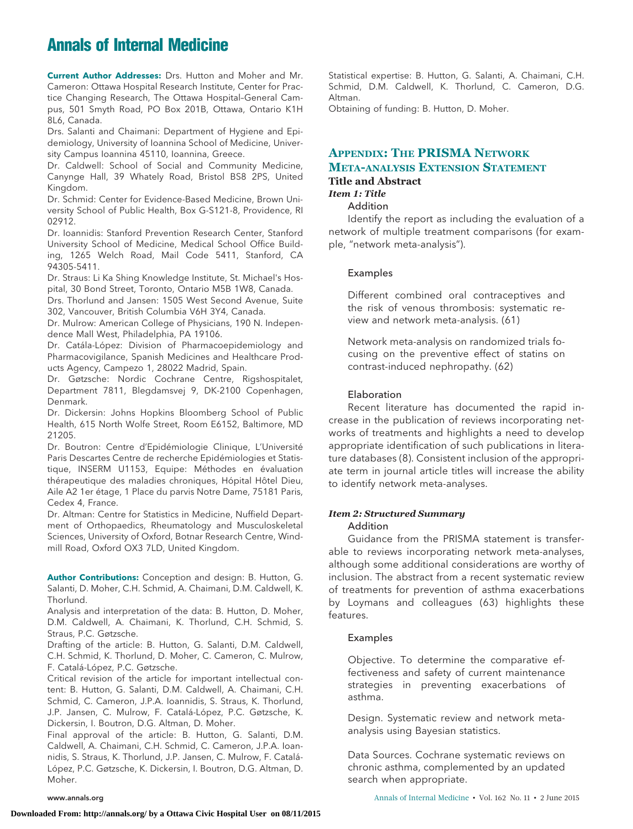# **Annals of Internal Medicine**

**Current Author Addresses:** Drs. Hutton and Moher and Mr. Cameron: Ottawa Hospital Research Institute, Center for Practice Changing Research, The Ottawa Hospital–General Campus, 501 Smyth Road, PO Box 201B, Ottawa, Ontario K1H 8L6, Canada.

Drs. Salanti and Chaimani: Department of Hygiene and Epidemiology, University of Ioannina School of Medicine, University Campus Ioannina 45110, Ioannina, Greece.

Dr. Caldwell: School of Social and Community Medicine, Canynge Hall, 39 Whately Road, Bristol BS8 2PS, United Kingdom.

Dr. Schmid: Center for Evidence-Based Medicine, Brown University School of Public Health, Box G-S121-8, Providence, RI 02912.

Dr. Ioannidis: Stanford Prevention Research Center, Stanford University School of Medicine, Medical School Office Building, 1265 Welch Road, Mail Code 5411, Stanford, CA 94305-5411.

Dr. Straus: Li Ka Shing Knowledge Institute, St. Michael's Hospital, 30 Bond Street, Toronto, Ontario M5B 1W8, Canada.

Drs. Thorlund and Jansen: 1505 West Second Avenue, Suite 302, Vancouver, British Columbia V6H 3Y4, Canada.

Dr. Mulrow: American College of Physicians, 190 N. Independence Mall West, Philadelphia, PA 19106.

Dr. Catála-López: Division of Pharmacoepidemiology and Pharmacovigilance, Spanish Medicines and Healthcare Products Agency, Campezo 1, 28022 Madrid, Spain.

Dr. Gøtzsche: Nordic Cochrane Centre, Rigshospitalet, Department 7811, Blegdamsvej 9, DK-2100 Copenhagen, Denmark.

Dr. Dickersin: Johns Hopkins Bloomberg School of Public Health, 615 North Wolfe Street, Room E6152, Baltimore, MD 21205.

Dr. Boutron: Centre d'Epidémiologie Clinique, L'Université Paris Descartes Centre de recherche Epidémiologies et Statistique, INSERM U1153, Equipe: Méthodes en évaluation thérapeutique des maladies chroniques, Hópital Hôtel Dieu, Aile A2 1er étage, 1 Place du parvis Notre Dame, 75181 Paris, Cedex 4, France.

Dr. Altman: Centre for Statistics in Medicine, Nuffield Department of Orthopaedics, Rheumatology and Musculoskeletal Sciences, University of Oxford, Botnar Research Centre, Windmill Road, Oxford OX3 7LD, United Kingdom.

**Author Contributions:** Conception and design: B. Hutton, G. Salanti, D. Moher, C.H. Schmid, A. Chaimani, D.M. Caldwell, K. Thorlund.

Analysis and interpretation of the data: B. Hutton, D. Moher, D.M. Caldwell, A. Chaimani, K. Thorlund, C.H. Schmid, S. Straus, P.C. Gøtzsche.

Drafting of the article: B. Hutton, G. Salanti, D.M. Caldwell, C.H. Schmid, K. Thorlund, D. Moher, C. Cameron, C. Mulrow, F. Catalá-López, P.C. Gøtzsche.

Critical revision of the article for important intellectual content: B. Hutton, G. Salanti, D.M. Caldwell, A. Chaimani, C.H. Schmid, C. Cameron, J.P.A. Ioannidis, S. Straus, K. Thorlund, J.P. Jansen, C. Mulrow, F. Catalá-López, P.C. Gøtzsche, K. Dickersin, I. Boutron, D.G. Altman, D. Moher.

Final approval of the article: B. Hutton, G. Salanti, D.M. Caldwell, A. Chaimani, C.H. Schmid, C. Cameron, J.P.A. Ioannidis, S. Straus, K. Thorlund, J.P. Jansen, C. Mulrow, F. Catalá-López, P.C. Gøtzsche, K. Dickersin, I. Boutron, D.G. Altman, D. Moher.

Statistical expertise: B. Hutton, G. Salanti, A. Chaimani, C.H. Schmid, D.M. Caldwell, K. Thorlund, C. Cameron, D.G. Altman.

Obtaining of funding: B. Hutton, D. Moher.

# **APPENDIX: THE PRISMA NETWORK META-ANALYSIS EXTENSION STATEMENT**

# **Title and Abstract**

# *Item 1: Title*

# Addition

Identify the report as including the evaluation of a network of multiple treatment comparisons (for example, "network meta-analysis").

#### Examples

Different combined oral contraceptives and the risk of venous thrombosis: systematic review and network meta-analysis. (61)

Network meta-analysis on randomized trials focusing on the preventive effect of statins on contrast-induced nephropathy. (62)

#### Elaboration

Recent literature has documented the rapid increase in the publication of reviews incorporating networks of treatments and highlights a need to develop appropriate identification of such publications in literature databases (8). Consistent inclusion of the appropriate term in journal article titles will increase the ability to identify network meta-analyses.

#### *Item 2: Structured Summary* Addition

Guidance from the PRISMA statement is transferable to reviews incorporating network meta-analyses, although some additional considerations are worthy of inclusion. The abstract from a recent systematic review of treatments for prevention of asthma exacerbations by Loymans and colleagues (63) highlights these features.

#### Examples

Objective. To determine the comparative effectiveness and safety of current maintenance strategies in preventing exacerbations of asthma.

Design. Systematic review and network metaanalysis using Bayesian statistics.

Data Sources. Cochrane systematic reviews on chronic asthma, complemented by an updated search when appropriate.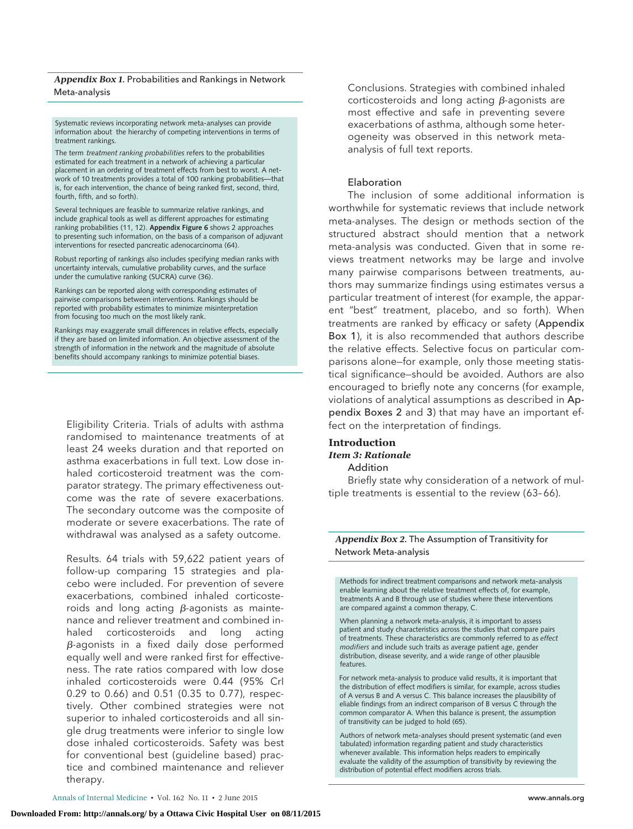#### *Appendix Box 1.* Probabilities and Rankings in Network Meta-analysis

Systematic reviews incorporating network meta-analyses can provide information about the hierarchy of competing interventions in terms of treatment rankings.

The term *treatment ranking probabilities* refers to the probabilities estimated for each treatment in a network of achieving a particular placement in an ordering of treatment effects from best to worst. A network of 10 treatments provides a total of 100 ranking probabilities—that is, for each intervention, the chance of being ranked first, second, third, fourth, fifth, and so forth).

Several techniques are feasible to summarize relative rankings, and include graphical tools as well as different approaches for estimating ranking probabilities (11, 12). **Appendix Figure 6** shows 2 approaches to presenting such information, on the basis of a comparison of adjuvant interventions for resected pancreatic adenocarcinoma (64).

Robust reporting of rankings also includes specifying median ranks with uncertainty intervals, cumulative probability curves, and the surface under the cumulative ranking (SUCRA) curve (36).

Rankings can be reported along with corresponding estimates of pairwise comparisons between interventions. Rankings should be reported with probability estimates to minimize misinterpretation from focusing too much on the most likely rank.

Rankings may exaggerate small differences in relative effects, especially if they are based on limited information. An objective assessment of the strength of information in the network and the magnitude of absolute benefits should accompany rankings to minimize potential biases.

Eligibility Criteria. Trials of adults with asthma randomised to maintenance treatments of at least 24 weeks duration and that reported on asthma exacerbations in full text. Low dose inhaled corticosteroid treatment was the comparator strategy. The primary effectiveness outcome was the rate of severe exacerbations. The secondary outcome was the composite of moderate or severe exacerbations. The rate of withdrawal was analysed as a safety outcome.

Results. 64 trials with 59,622 patient years of follow-up comparing 15 strategies and placebo were included. For prevention of severe exacerbations, combined inhaled corticosteroids and long acting  $\beta$ -agonists as maintenance and reliever treatment and combined inhaled corticosteroids and long acting  $\beta$ -agonists in a fixed daily dose performed equally well and were ranked first for effectiveness. The rate ratios compared with low dose inhaled corticosteroids were 0.44 (95% CrI 0.29 to 0.66) and 0.51 (0.35 to 0.77), respectively. Other combined strategies were not superior to inhaled corticosteroids and all single drug treatments were inferior to single low dose inhaled corticosteroids. Safety was best for conventional best (guideline based) practice and combined maintenance and reliever therapy.

Conclusions. Strategies with combined inhaled corticosteroids and long acting  $\beta$ -agonists are most effective and safe in preventing severe exacerbations of asthma, although some heterogeneity was observed in this network metaanalysis of full text reports.

#### Elaboration

The inclusion of some additional information is worthwhile for systematic reviews that include network meta-analyses. The design or methods section of the structured abstract should mention that a network meta-analysis was conducted. Given that in some reviews treatment networks may be large and involve many pairwise comparisons between treatments, authors may summarize findings using estimates versus a particular treatment of interest (for example, the apparent "best" treatment, placebo, and so forth). When treatments are ranked by efficacy or safety (Appendix Box 1), it is also recommended that authors describe the relative effects. Selective focus on particular comparisons alone—for example, only those meeting statistical significance—should be avoided. Authors are also encouraged to briefly note any concerns (for example, violations of analytical assumptions as described in Appendix Boxes 2 and 3) that may have an important effect on the interpretation of findings.

#### **Introduction** *Item 3: Rationale* Addition

Briefly state why consideration of a network of multiple treatments is essential to the review (63-66).

*Appendix Box 2.* The Assumption of Transitivity for Network Meta-analysis

Methods for indirect treatment comparisons and network meta-analysis enable learning about the relative treatment effects of, for example, treatments A and B through use of studies where these interventions are compared against a common therapy, C.

When planning a network meta-analysis, it is important to assess patient and study characteristics across the studies that compare pairs of treatments. These characteristics are commonly referred to as *effect modifiers* and include such traits as average patient age, gender distribution, disease severity, and a wide range of other plausible features.

For network meta-analysis to produce valid results, it is important that the distribution of effect modifiers is similar, for example, across studies of A versus B and A versus C. This balance increases the plausibility of eliable findings from an indirect comparison of B versus C through the common comparator A. When this balance is present, the assumption of transitivity can be judged to hold (65).

Authors of network meta-analyses should present systematic (and even tabulated) information regarding patient and study characteristics whenever available. This information helps readers to empirically evaluate the validity of the assumption of transitivity by reviewing the distribution of potential effect modifiers across trials.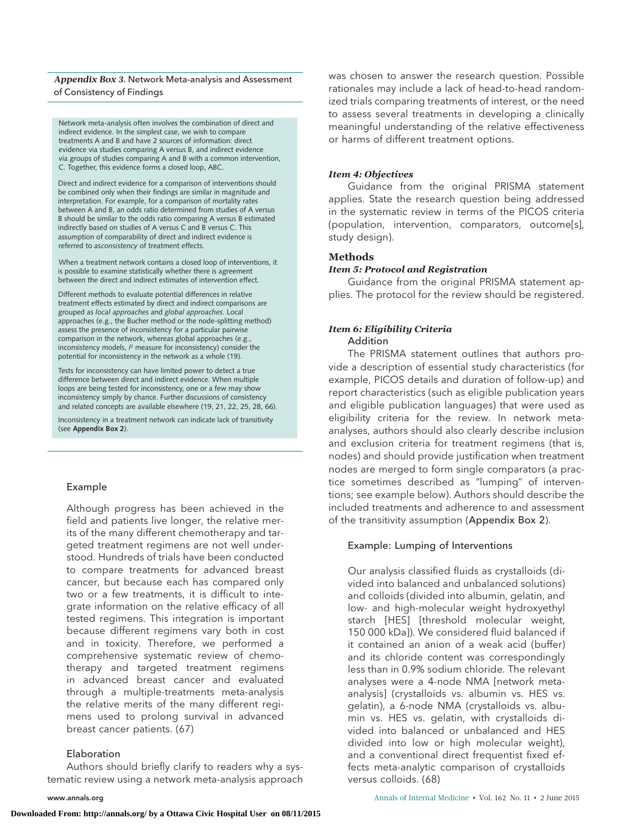#### *Appendix Box 3.* Network Meta-analysis and Assessment of Consistency of Findings

Network meta-analysis often involves the combination of direct and indirect evidence. In the simplest case, we wish to compare treatments A and B and have 2 sources of information: direct evidence via studies comparing A versus B, and indirect evidence via groups of studies comparing A and B with a common intervention, C. Together, this evidence forms a closed loop, ABC.

Direct and indirect evidence for a comparison of interventions should be combined only when their findings are similar in magnitude and interpretation. For example, for a comparison of mortality rates between A and B, an odds ratio determined from studies of A versus B should be similar to the odds ratio comparing A versus B estimated indirectly based on studies of A versus C and B versus C. This assumption of comparability of direct and indirect evidence is referred to asconsistency of treatment effects.

When a treatment network contains a closed loop of interventions, it is possible to examine statistically whether there is agreement between the direct and indirect estimates of intervention effect.

Different methods to evaluate potential differences in relative treatment effects estimated by direct and indirect comparisons are grouped as *local approaches* and *global approaches*. Local approaches (e.g., the Bucher method or the node-splitting method) assess the presence of inconsistency for a particular pairwise comparison in the network, whereas global approaches (e.g., inconsistency models, *I* 2 measure for inconsistency) consider the potential for inconsistency in the network as a whole (19).

Tests for inconsistency can have limited power to detect a true difference between direct and indirect evidence. When multiple loops are being tested for inconsistency, one or a few may show inconsistency simply by chance. Further discussions of consistency and related concepts are available elsewhere (19, 21, 22, 25, 28, 66).

Inconsistency in a treatment network can indicate lack of transitivity (see **Appendix Box 2**).

#### Example

Although progress has been achieved in the field and patients live longer, the relative merits of the many different chemotherapy and targeted treatment regimens are not well understood. Hundreds of trials have been conducted to compare treatments for advanced breast cancer, but because each has compared only two or a few treatments, it is difficult to integrate information on the relative efficacy of all tested regimens. This integration is important because different regimens vary both in cost and in toxicity. Therefore, we performed a comprehensive systematic review of chemotherapy and targeted treatment regimens in advanced breast cancer and evaluated through a multiple-treatments meta-analysis the relative merits of the many different regimens used to prolong survival in advanced breast cancer patients. (67)

#### Elaboration

Authors should briefly clarify to readers why a systematic review using a network meta-analysis approach

was chosen to answer the research question. Possible rationales may include a lack of head-to-head randomized trials comparing treatments of interest, or the need to assess several treatments in developing a clinically meaningful understanding of the relative effectiveness or harms of different treatment options.

#### *Item 4: Objectives*

Guidance from the original PRISMA statement applies. State the research question being addressed in the systematic review in terms of the PICOS criteria (population, intervention, comparators, outcome[s], study design).

# **Methods**

#### *Item 5: Protocol and Registration*

Guidance from the original PRISMA statement applies. The protocol for the review should be registered.

# *Item 6: Eligibility Criteria*

# Addition

The PRISMA statement outlines that authors provide a description of essential study characteristics (for example, PICOS details and duration of follow-up) and report characteristics (such as eligible publication years and eligible publication languages) that were used as eligibility criteria for the review. In network metaanalyses, authors should also clearly describe inclusion and exclusion criteria for treatment regimens (that is, nodes) and should provide justification when treatment nodes are merged to form single comparators (a practice sometimes described as "lumping" of interventions; see example below). Authors should describe the included treatments and adherence to and assessment of the transitivity assumption (Appendix Box 2).

#### Example: Lumping of Interventions

Our analysis classified fluids as crystalloids (divided into balanced and unbalanced solutions) and colloids (divided into albumin, gelatin, and low- and high-molecular weight hydroxyethyl starch [HES] [threshold molecular weight, 150 000 kDa]). We considered fluid balanced if it contained an anion of a weak acid (buffer) and its chloride content was correspondingly less than in 0.9% sodium chloride. The relevant analyses were a 4-node NMA [network metaanalysis] (crystalloids vs. albumin vs. HES vs. gelatin), a 6-node NMA (crystalloids vs. albumin vs. HES vs. gelatin, with crystalloids divided into balanced or unbalanced and HES divided into low or high molecular weight), and a conventional direct frequentist fixed effects meta-analytic comparison of crystalloids versus colloids. (68)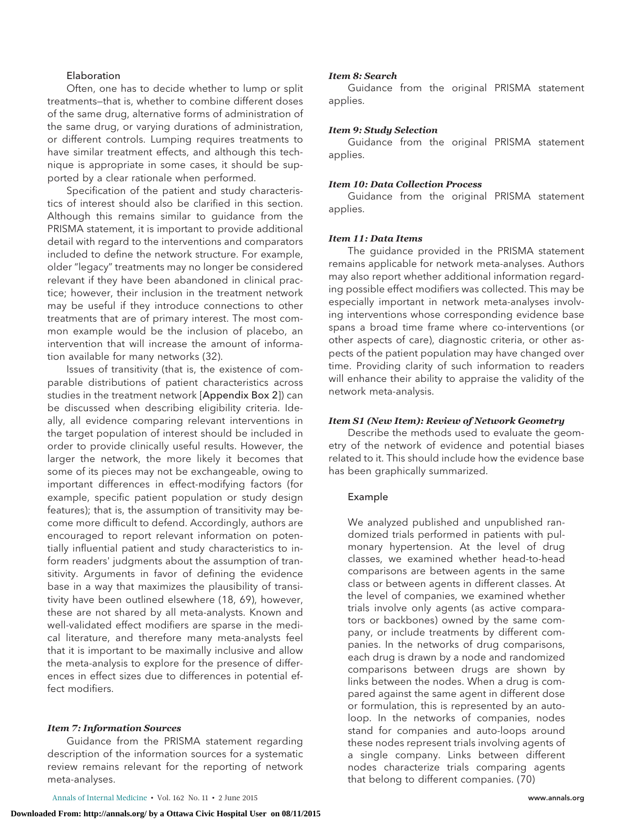### Elaboration

Often, one has to decide whether to lump or split treatments—that is, whether to combine different doses of the same drug, alternative forms of administration of the same drug, or varying durations of administration, or different controls. Lumping requires treatments to have similar treatment effects, and although this technique is appropriate in some cases, it should be supported by a clear rationale when performed.

Specification of the patient and study characteristics of interest should also be clarified in this section. Although this remains similar to guidance from the PRISMA statement, it is important to provide additional detail with regard to the interventions and comparators included to define the network structure. For example, older "legacy" treatments may no longer be considered relevant if they have been abandoned in clinical practice; however, their inclusion in the treatment network may be useful if they introduce connections to other treatments that are of primary interest. The most common example would be the inclusion of placebo, an intervention that will increase the amount of information available for many networks (32).

Issues of transitivity (that is, the existence of comparable distributions of patient characteristics across studies in the treatment network [Appendix Box 2]) can be discussed when describing eligibility criteria. Ideally, all evidence comparing relevant interventions in the target population of interest should be included in order to provide clinically useful results. However, the larger the network, the more likely it becomes that some of its pieces may not be exchangeable, owing to important differences in effect-modifying factors (for example, specific patient population or study design features); that is, the assumption of transitivity may become more difficult to defend. Accordingly, authors are encouraged to report relevant information on potentially influential patient and study characteristics to inform readers' judgments about the assumption of transitivity. Arguments in favor of defining the evidence base in a way that maximizes the plausibility of transitivity have been outlined elsewhere (18, 69), however, these are not shared by all meta-analysts. Known and well-validated effect modifiers are sparse in the medical literature, and therefore many meta-analysts feel that it is important to be maximally inclusive and allow the meta-analysis to explore for the presence of differences in effect sizes due to differences in potential effect modifiers.

#### *Item 7: Information Sources*

Guidance from the PRISMA statement regarding description of the information sources for a systematic review remains relevant for the reporting of network meta-analyses.

#### *Item 8: Search*

Guidance from the original PRISMA statement applies.

#### *Item 9: Study Selection*

Guidance from the original PRISMA statement applies.

#### *Item 10: Data Collection Process*

Guidance from the original PRISMA statement applies.

#### *Item 11: Data Items*

The guidance provided in the PRISMA statement remains applicable for network meta-analyses. Authors may also report whether additional information regarding possible effect modifiers was collected. This may be especially important in network meta-analyses involving interventions whose corresponding evidence base spans a broad time frame where co-interventions (or other aspects of care), diagnostic criteria, or other aspects of the patient population may have changed over time. Providing clarity of such information to readers will enhance their ability to appraise the validity of the network meta-analysis.

#### *Item S1 (New Item): Review of Network Geometry*

Describe the methods used to evaluate the geometry of the network of evidence and potential biases related to it. This should include how the evidence base has been graphically summarized.

#### Example

We analyzed published and unpublished randomized trials performed in patients with pulmonary hypertension. At the level of drug classes, we examined whether head-to-head comparisons are between agents in the same class or between agents in different classes. At the level of companies, we examined whether trials involve only agents (as active comparators or backbones) owned by the same company, or include treatments by different companies. In the networks of drug comparisons, each drug is drawn by a node and randomized comparisons between drugs are shown by links between the nodes. When a drug is compared against the same agent in different dose or formulation, this is represented by an autoloop. In the networks of companies, nodes stand for companies and auto-loops around these nodes represent trials involving agents of a single company. Links between different nodes characterize trials comparing agents that belong to different companies. (70)

Annals of Internal Medicine • Vol. 162 No. 11 • 2 June 2015 **www.annals.org** www.annals.org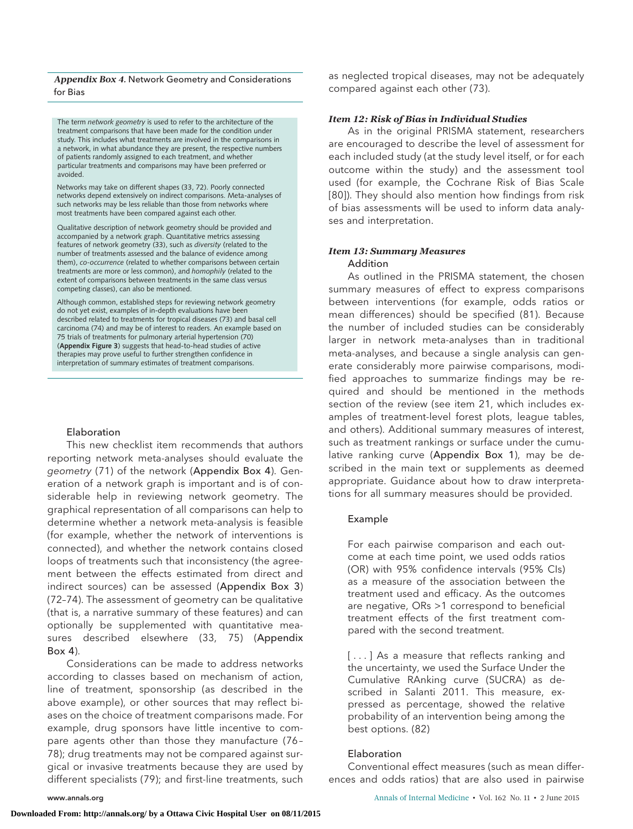#### *Appendix Box 4.* Network Geometry and Considerations for Bias

The term *network geometry* is used to refer to the architecture of the treatment comparisons that have been made for the condition under study. This includes what treatments are involved in the comparisons in a network, in what abundance they are present, the respective numbers of patients randomly assigned to each treatment, and whether particular treatments and comparisons may have been preferred or avoided.

Networks may take on different shapes (33, 72). Poorly connected networks depend extensively on indirect comparisons. Meta-analyses of such networks may be less reliable than those from networks where most treatments have been compared against each other.

Qualitative description of network geometry should be provided and accompanied by a network graph. Quantitative metrics assessing features of network geometry (33), such as *diversity* (related to the number of treatments assessed and the balance of evidence among them), *co-occurrence* (related to whether comparisons between certain treatments are more or less common), and *homophily* (related to the extent of comparisons between treatments in the same class versus competing classes), can also be mentioned.

Although common, established steps for reviewing network geometry do not yet exist, examples of in-depth evaluations have been described related to treatments for tropical diseases (73) and basal cell carcinoma (74) and may be of interest to readers. An example based on 75 trials of treatments for pulmonary arterial hypertension (70) (**Appendix Figure 3**) suggests that head-to-head studies of active therapies may prove useful to further strengthen confidence in interpretation of summary estimates of treatment comparisons.

# Elaboration

This new checklist item recommends that authors reporting network meta-analyses should evaluate the geometry (71) of the network (Appendix Box 4). Generation of a network graph is important and is of considerable help in reviewing network geometry. The graphical representation of all comparisons can help to determine whether a network meta-analysis is feasible (for example, whether the network of interventions is connected), and whether the network contains closed loops of treatments such that inconsistency (the agreement between the effects estimated from direct and indirect sources) can be assessed (Appendix Box 3) (72–74). The assessment of geometry can be qualitative (that is, a narrative summary of these features) and can optionally be supplemented with quantitative measures described elsewhere (33, 75) (Appendix  $Box(4)$ 

Considerations can be made to address networks according to classes based on mechanism of action, line of treatment, sponsorship (as described in the above example), or other sources that may reflect biases on the choice of treatment comparisons made. For example, drug sponsors have little incentive to compare agents other than those they manufacture (76 – 78); drug treatments may not be compared against surgical or invasive treatments because they are used by different specialists (79); and first-line treatments, such

as neglected tropical diseases, may not be adequately compared against each other (73).

## *Item 12: Risk of Bias in Individual Studies*

As in the original PRISMA statement, researchers are encouraged to describe the level of assessment for each included study (at the study level itself, or for each outcome within the study) and the assessment tool used (for example, the Cochrane Risk of Bias Scale [80]). They should also mention how findings from risk of bias assessments will be used to inform data analyses and interpretation.

#### *Item 13: Summary Measures* Addition

As outlined in the PRISMA statement, the chosen summary measures of effect to express comparisons between interventions (for example, odds ratios or mean differences) should be specified (81). Because the number of included studies can be considerably larger in network meta-analyses than in traditional meta-analyses, and because a single analysis can generate considerably more pairwise comparisons, modified approaches to summarize findings may be required and should be mentioned in the methods section of the review (see item 21, which includes examples of treatment-level forest plots, league tables, and others). Additional summary measures of interest, such as treatment rankings or surface under the cumulative ranking curve (Appendix Box 1), may be described in the main text or supplements as deemed appropriate. Guidance about how to draw interpretations for all summary measures should be provided.

### Example

For each pairwise comparison and each outcome at each time point, we used odds ratios (OR) with 95% confidence intervals (95% CIs) as a measure of the association between the treatment used and efficacy. As the outcomes are negative, ORs >1 correspond to beneficial treatment effects of the first treatment compared with the second treatment.

[...] As a measure that reflects ranking and the uncertainty, we used the Surface Under the Cumulative RAnking curve (SUCRA) as described in Salanti 2011. This measure, expressed as percentage, showed the relative probability of an intervention being among the best options. (82)

#### Elaboration

Conventional effect measures (such as mean differences and odds ratios) that are also used in pairwise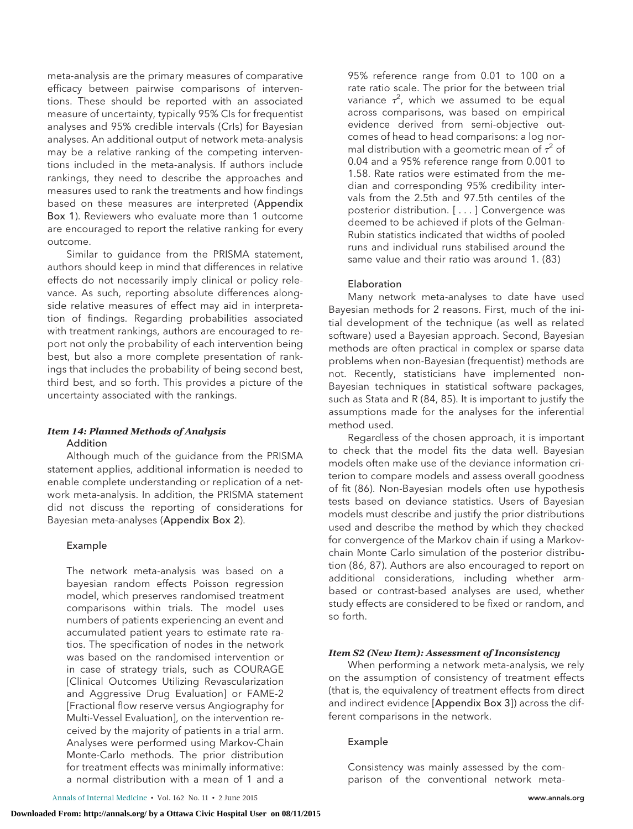meta-analysis are the primary measures of comparative efficacy between pairwise comparisons of interventions. These should be reported with an associated measure of uncertainty, typically 95% CIs for frequentist analyses and 95% credible intervals (CrIs) for Bayesian analyses. An additional output of network meta-analysis may be a relative ranking of the competing interventions included in the meta-analysis. If authors include rankings, they need to describe the approaches and measures used to rank the treatments and how findings based on these measures are interpreted (Appendix Box 1). Reviewers who evaluate more than 1 outcome are encouraged to report the relative ranking for every outcome.

Similar to guidance from the PRISMA statement, authors should keep in mind that differences in relative effects do not necessarily imply clinical or policy relevance. As such, reporting absolute differences alongside relative measures of effect may aid in interpretation of findings. Regarding probabilities associated with treatment rankings, authors are encouraged to report not only the probability of each intervention being best, but also a more complete presentation of rankings that includes the probability of being second best, third best, and so forth. This provides a picture of the uncertainty associated with the rankings.

# *Item 14: Planned Methods of Analysis* Addition

Although much of the guidance from the PRISMA statement applies, additional information is needed to enable complete understanding or replication of a network meta-analysis. In addition, the PRISMA statement did not discuss the reporting of considerations for Bayesian meta-analyses (Appendix Box 2).

# Example

The network meta-analysis was based on a bayesian random effects Poisson regression model, which preserves randomised treatment comparisons within trials. The model uses numbers of patients experiencing an event and accumulated patient years to estimate rate ratios. The specification of nodes in the network was based on the randomised intervention or in case of strategy trials, such as COURAGE [Clinical Outcomes Utilizing Revascularization and Aggressive Drug Evaluation] or FAME-2 [Fractional flow reserve versus Angiography for Multi-Vessel Evaluation], on the intervention received by the majority of patients in a trial arm. Analyses were performed using Markov-Chain Monte-Carlo methods. The prior distribution for treatment effects was minimally informative: a normal distribution with a mean of 1 and a

95% reference range from 0.01 to 100 on a rate ratio scale. The prior for the between trial variance  $\tau^2$ , which we assumed to be equal across comparisons, was based on empirical evidence derived from semi-objective outcomes of head to head comparisons: a log normal distribution with a geometric mean of  $\tau^2$  of 0.04 and a 95% reference range from 0.001 to 1.58. Rate ratios were estimated from the median and corresponding 95% credibility intervals from the 2.5th and 97.5th centiles of the posterior distribution. [ ...] Convergence was deemed to be achieved if plots of the Gelman-Rubin statistics indicated that widths of pooled runs and individual runs stabilised around the same value and their ratio was around 1. (83)

# Elaboration

Many network meta-analyses to date have used Bayesian methods for 2 reasons. First, much of the initial development of the technique (as well as related software) used a Bayesian approach. Second, Bayesian methods are often practical in complex or sparse data problems when non-Bayesian (frequentist) methods are not. Recently, statisticians have implemented non-Bayesian techniques in statistical software packages, such as Stata and R (84, 85). It is important to justify the assumptions made for the analyses for the inferential method used.

Regardless of the chosen approach, it is important to check that the model fits the data well. Bayesian models often make use of the deviance information criterion to compare models and assess overall goodness of fit (86). Non-Bayesian models often use hypothesis tests based on deviance statistics. Users of Bayesian models must describe and justify the prior distributions used and describe the method by which they checked for convergence of the Markov chain if using a Markovchain Monte Carlo simulation of the posterior distribution (86, 87). Authors are also encouraged to report on additional considerations, including whether armbased or contrast-based analyses are used, whether study effects are considered to be fixed or random, and so forth.

# *Item S2 (New Item): Assessment of Inconsistency*

When performing a network meta-analysis, we rely on the assumption of consistency of treatment effects (that is, the equivalency of treatment effects from direct and indirect evidence [Appendix Box 3]) across the different comparisons in the network.

#### Example

Consistency was mainly assessed by the comparison of the conventional network meta-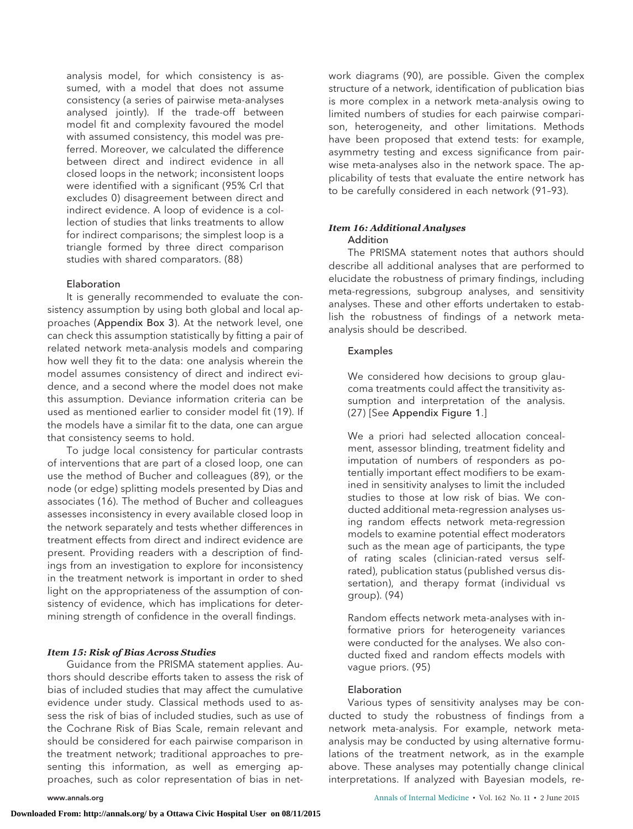analysis model, for which consistency is assumed, with a model that does not assume consistency (a series of pairwise meta-analyses analysed jointly). If the trade-off between model fit and complexity favoured the model with assumed consistency, this model was preferred. Moreover, we calculated the difference between direct and indirect evidence in all closed loops in the network; inconsistent loops were identified with a significant (95% CrI that excludes 0) disagreement between direct and indirect evidence. A loop of evidence is a collection of studies that links treatments to allow for indirect comparisons; the simplest loop is a triangle formed by three direct comparison studies with shared comparators. (88)

#### Elaboration

It is generally recommended to evaluate the consistency assumption by using both global and local approaches (Appendix Box 3). At the network level, one can check this assumption statistically by fitting a pair of related network meta-analysis models and comparing how well they fit to the data: one analysis wherein the model assumes consistency of direct and indirect evidence, and a second where the model does not make this assumption. Deviance information criteria can be used as mentioned earlier to consider model fit (19). If the models have a similar fit to the data, one can argue that consistency seems to hold.

To judge local consistency for particular contrasts of interventions that are part of a closed loop, one can use the method of Bucher and colleagues (89), or the node (or edge) splitting models presented by Dias and associates (16). The method of Bucher and colleagues assesses inconsistency in every available closed loop in the network separately and tests whether differences in treatment effects from direct and indirect evidence are present. Providing readers with a description of findings from an investigation to explore for inconsistency in the treatment network is important in order to shed light on the appropriateness of the assumption of consistency of evidence, which has implications for determining strength of confidence in the overall findings.

#### *Item 15: Risk of Bias Across Studies*

Guidance from the PRISMA statement applies. Authors should describe efforts taken to assess the risk of bias of included studies that may affect the cumulative evidence under study. Classical methods used to assess the risk of bias of included studies, such as use of the Cochrane Risk of Bias Scale, remain relevant and should be considered for each pairwise comparison in the treatment network; traditional approaches to presenting this information, as well as emerging approaches, such as color representation of bias in network diagrams (90), are possible. Given the complex structure of a network, identification of publication bias is more complex in a network meta-analysis owing to limited numbers of studies for each pairwise comparison, heterogeneity, and other limitations. Methods have been proposed that extend tests: for example, asymmetry testing and excess significance from pairwise meta-analyses also in the network space. The applicability of tests that evaluate the entire network has to be carefully considered in each network (91–93).

#### *Item 16: Additional Analyses* **Addition**

The PRISMA statement notes that authors should describe all additional analyses that are performed to elucidate the robustness of primary findings, including meta-regressions, subgroup analyses, and sensitivity analyses. These and other efforts undertaken to establish the robustness of findings of a network metaanalysis should be described.

## Examples

We considered how decisions to group glaucoma treatments could affect the transitivity assumption and interpretation of the analysis. (27) [See Appendix Figure 1.]

We a priori had selected allocation concealment, assessor blinding, treatment fidelity and imputation of numbers of responders as potentially important effect modifiers to be examined in sensitivity analyses to limit the included studies to those at low risk of bias. We conducted additional meta-regression analyses using random effects network meta-regression models to examine potential effect moderators such as the mean age of participants, the type of rating scales (clinician-rated versus selfrated), publication status (published versus dissertation), and therapy format (individual vs group). (94)

Random effects network meta-analyses with informative priors for heterogeneity variances were conducted for the analyses. We also conducted fixed and random effects models with vague priors. (95)

#### Elaboration

Various types of sensitivity analyses may be conducted to study the robustness of findings from a network meta-analysis. For example, network metaanalysis may be conducted by using alternative formulations of the treatment network, as in the example above. These analyses may potentially change clinical interpretations. If analyzed with Bayesian models, re-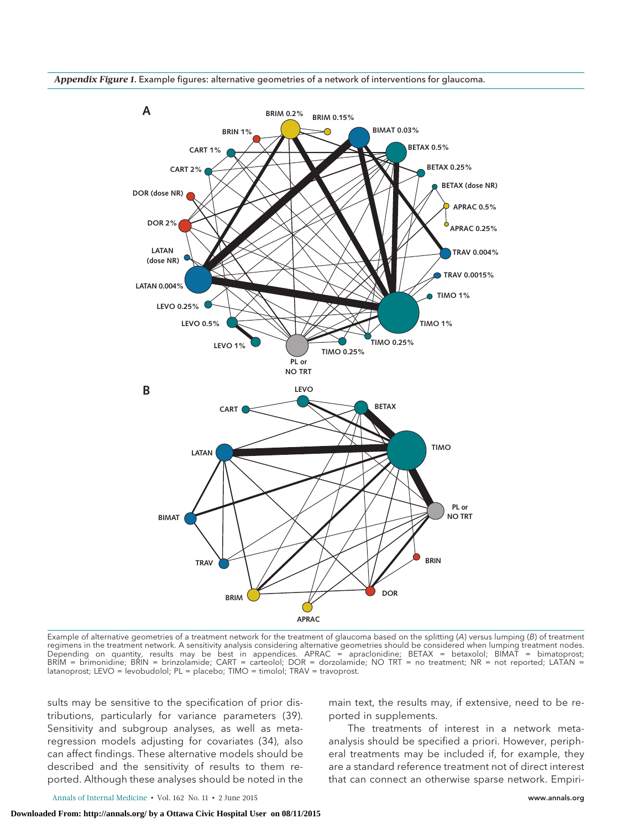

*Appendix Figure 1.* Example figures: alternative geometries of a network of interventions for glaucoma.

Example of alternative geometries of a treatment network for the treatment of glaucoma based on the splitting (A) versus lumping (B) of treatment regimens in the treatment network. A sensitivity analysis considering alternative geometries should be considered when lumping treatment nodes. Depending on quantity, results may be best in appendices. APRAC = apraclonidine; BETAX = betaxolol; BIMAT = bimatoprost; BRIM = brimonidine; BRIN = brinzolamide; CART = carteolol; DOR = dorzolamide; NO TRT = no treatment; NR = not reported; LATAN = latanoprost; LEVO = levobudolol; PL = placebo; TIMO = timolol; TRAV = travoprost.

sults may be sensitive to the specification of prior distributions, particularly for variance parameters (39). Sensitivity and subgroup analyses, as well as metaregression models adjusting for covariates (34), also can affect findings. These alternative models should be described and the sensitivity of results to them reported. Although these analyses should be noted in the main text, the results may, if extensive, need to be reported in supplements.

The treatments of interest in a network metaanalysis should be specified a priori. However, peripheral treatments may be included if, for example, they are a standard reference treatment not of direct interest that can connect an otherwise sparse network. Empiri-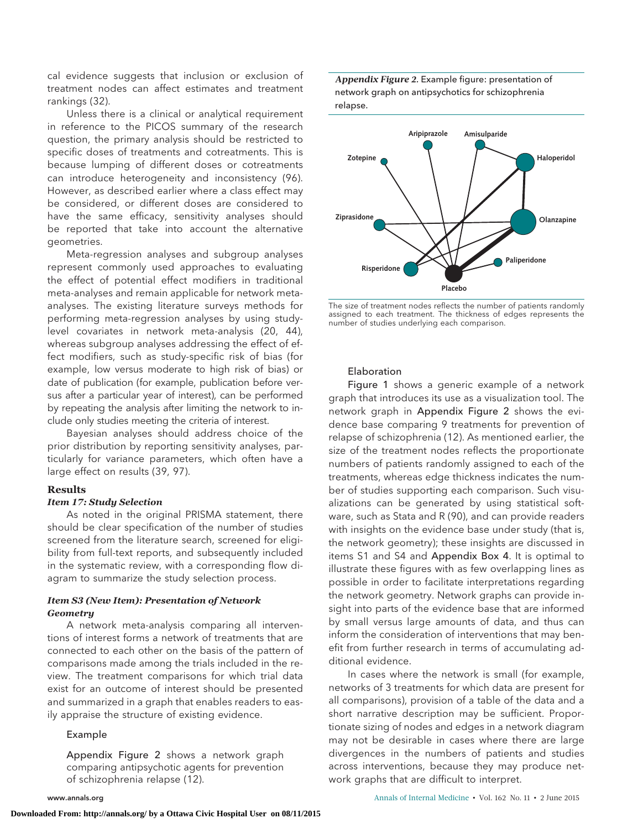cal evidence suggests that inclusion or exclusion of treatment nodes can affect estimates and treatment rankings (32).

Unless there is a clinical or analytical requirement in reference to the PICOS summary of the research question, the primary analysis should be restricted to specific doses of treatments and cotreatments. This is because lumping of different doses or cotreatments can introduce heterogeneity and inconsistency (96). However, as described earlier where a class effect may be considered, or different doses are considered to have the same efficacy, sensitivity analyses should be reported that take into account the alternative geometries.

Meta-regression analyses and subgroup analyses represent commonly used approaches to evaluating the effect of potential effect modifiers in traditional meta-analyses and remain applicable for network metaanalyses. The existing literature surveys methods for performing meta-regression analyses by using studylevel covariates in network meta-analysis (20, 44), whereas subgroup analyses addressing the effect of effect modifiers, such as study-specific risk of bias (for example, low versus moderate to high risk of bias) or date of publication (for example, publication before versus after a particular year of interest), can be performed by repeating the analysis after limiting the network to include only studies meeting the criteria of interest.

Bayesian analyses should address choice of the prior distribution by reporting sensitivity analyses, particularly for variance parameters, which often have a large effect on results (39, 97).

#### **Results**

# *Item 17: Study Selection*

As noted in the original PRISMA statement, there should be clear specification of the number of studies screened from the literature search, screened for eligibility from full-text reports, and subsequently included in the systematic review, with a corresponding flow diagram to summarize the study selection process.

## *Item S3 (New Item): Presentation of Network Geometry*

A network meta-analysis comparing all interventions of interest forms a network of treatments that are connected to each other on the basis of the pattern of comparisons made among the trials included in the review. The treatment comparisons for which trial data exist for an outcome of interest should be presented and summarized in a graph that enables readers to easily appraise the structure of existing evidence.

#### Example

Appendix Figure 2 shows a network graph comparing antipsychotic agents for prevention of schizophrenia relapse (12).





The size of treatment nodes reflects the number of patients randomly assigned to each treatment. The thickness of edges represents the number of studies underlying each comparison.

### Elaboration

Figure 1 shows a generic example of a network graph that introduces its use as a visualization tool. The network graph in Appendix Figure 2 shows the evidence base comparing 9 treatments for prevention of relapse of schizophrenia (12). As mentioned earlier, the size of the treatment nodes reflects the proportionate numbers of patients randomly assigned to each of the treatments, whereas edge thickness indicates the number of studies supporting each comparison. Such visualizations can be generated by using statistical software, such as Stata and R (90), and can provide readers with insights on the evidence base under study (that is, the network geometry); these insights are discussed in items S1 and S4 and Appendix Box 4. It is optimal to illustrate these figures with as few overlapping lines as possible in order to facilitate interpretations regarding the network geometry. Network graphs can provide insight into parts of the evidence base that are informed by small versus large amounts of data, and thus can inform the consideration of interventions that may benefit from further research in terms of accumulating additional evidence.

In cases where the network is small (for example, networks of 3 treatments for which data are present for all comparisons), provision of a table of the data and a short narrative description may be sufficient. Proportionate sizing of nodes and edges in a network diagram may not be desirable in cases where there are large divergences in the numbers of patients and studies across interventions, because they may produce network graphs that are difficult to interpret.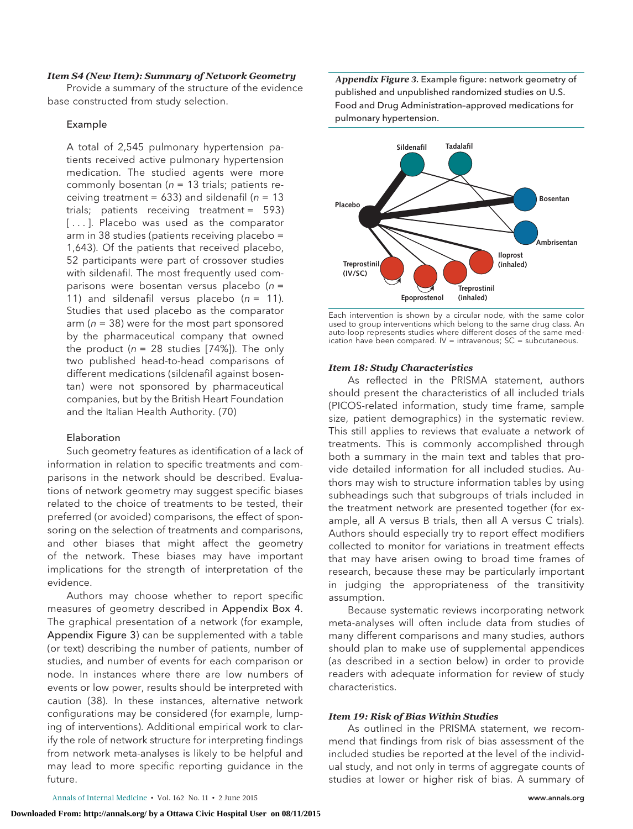#### *Item S4 (New Item): Summary of Network Geometry*

Provide a summary of the structure of the evidence base constructed from study selection.

#### Example

A total of 2,545 pulmonary hypertension patients received active pulmonary hypertension medication. The studied agents were more commonly bosentan ( $n = 13$  trials; patients receiving treatment = 633) and sildenafil ( $n = 13$ ) trials; patients receiving treatment = 593) [...]. Placebo was used as the comparator arm in 38 studies (patients receiving placebo = 1,643). Of the patients that received placebo, 52 participants were part of crossover studies with sildenafil. The most frequently used comparisons were bosentan versus placebo ( $n =$ 11) and sildenafil versus placebo  $(n = 11)$ . Studies that used placebo as the comparator arm ( $n = 38$ ) were for the most part sponsored by the pharmaceutical company that owned the product ( $n = 28$  studies [74%]). The only two published head-to-head comparisons of different medications (sildenafil against bosentan) were not sponsored by pharmaceutical companies, but by the British Heart Foundation and the Italian Health Authority. (70)

## Elaboration

Such geometry features as identification of a lack of information in relation to specific treatments and comparisons in the network should be described. Evaluations of network geometry may suggest specific biases related to the choice of treatments to be tested, their preferred (or avoided) comparisons, the effect of sponsoring on the selection of treatments and comparisons, and other biases that might affect the geometry of the network. These biases may have important implications for the strength of interpretation of the evidence.

Authors may choose whether to report specific measures of geometry described in Appendix Box 4. The graphical presentation of a network (for example, Appendix Figure 3) can be supplemented with a table (or text) describing the number of patients, number of studies, and number of events for each comparison or node. In instances where there are low numbers of events or low power, results should be interpreted with caution (38). In these instances, alternative network configurations may be considered (for example, lumping of interventions). Additional empirical work to clarify the role of network structure for interpreting findings from network meta-analyses is likely to be helpful and may lead to more specific reporting guidance in the future.

*Appendix Figure 3.* Example figure: network geometry of published and unpublished randomized studies on U.S. Food and Drug Administration–approved medications for pulmonary hypertension.



Each intervention is shown by a circular node, with the same color used to group interventions which belong to the same drug class. An auto-loop represents studies where different doses of the same medication have been compared. IV = intravenous; SC = subcutaneous.

## *Item 18: Study Characteristics*

As reflected in the PRISMA statement, authors should present the characteristics of all included trials (PICOS-related information, study time frame, sample size, patient demographics) in the systematic review. This still applies to reviews that evaluate a network of treatments. This is commonly accomplished through both a summary in the main text and tables that provide detailed information for all included studies. Authors may wish to structure information tables by using subheadings such that subgroups of trials included in the treatment network are presented together (for example, all A versus B trials, then all A versus C trials). Authors should especially try to report effect modifiers collected to monitor for variations in treatment effects that may have arisen owing to broad time frames of research, because these may be particularly important in judging the appropriateness of the transitivity assumption.

Because systematic reviews incorporating network meta-analyses will often include data from studies of many different comparisons and many studies, authors should plan to make use of supplemental appendices (as described in a section below) in order to provide readers with adequate information for review of study characteristics.

# *Item 19: Risk of Bias Within Studies*

As outlined in the PRISMA statement, we recommend that findings from risk of bias assessment of the included studies be reported at the level of the individual study, and not only in terms of aggregate counts of studies at lower or higher risk of bias. A summary of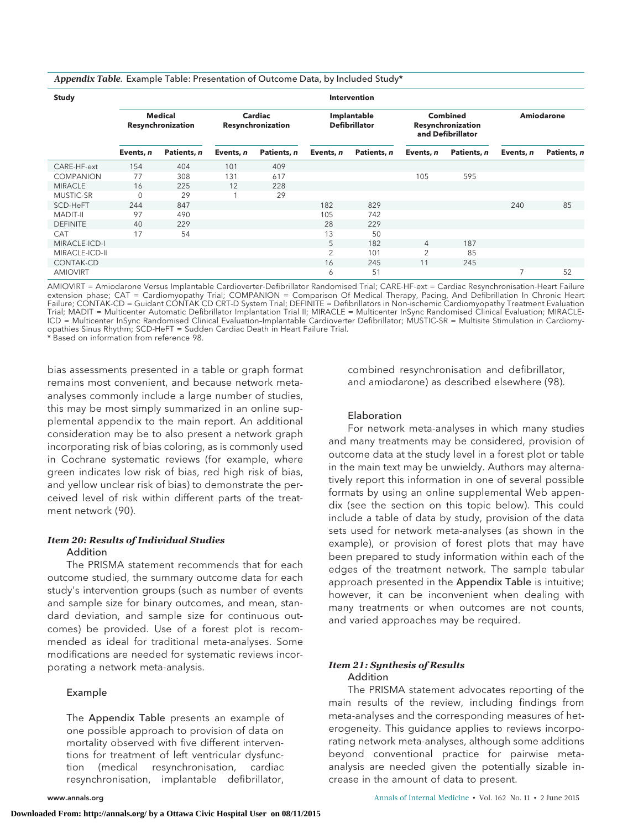| Appendix Table. Example Table: Presentation of Outcome Data, by Included Study* |  |  |  |  |  |  |  |
|---------------------------------------------------------------------------------|--|--|--|--|--|--|--|
|---------------------------------------------------------------------------------|--|--|--|--|--|--|--|

| Study            | <b>Intervention</b>                 |             |                              |             |                                     |             |                                                           |             |                   |             |
|------------------|-------------------------------------|-------------|------------------------------|-------------|-------------------------------------|-------------|-----------------------------------------------------------|-------------|-------------------|-------------|
|                  | <b>Medical</b><br>Resynchronization |             | Cardiac<br>Resynchronization |             | Implantable<br><b>Defibrillator</b> |             | <b>Combined</b><br>Resynchronization<br>and Defibrillator |             | <b>Amiodarone</b> |             |
|                  | Events, n                           | Patients, n | Events, n                    | Patients, n | Events, n                           | Patients, n | Events, n                                                 | Patients, n | Events, n         | Patients, n |
| CARE-HF-ext      | 154                                 | 404         | 101                          | 409         |                                     |             |                                                           |             |                   |             |
| <b>COMPANION</b> | 77                                  | 308         | 131                          | 617         |                                     |             | 105                                                       | 595         |                   |             |
| <b>MIRACLE</b>   | 16                                  | 225         | 12                           | 228         |                                     |             |                                                           |             |                   |             |
| MUSTIC-SR        | $\mathbf{0}$                        | 29          |                              | 29          |                                     |             |                                                           |             |                   |             |
| SCD-HeFT         | 244                                 | 847         |                              |             | 182                                 | 829         |                                                           |             | 240               | 85          |
| <b>MADIT-II</b>  | 97                                  | 490         |                              |             | 105                                 | 742         |                                                           |             |                   |             |
| <b>DEFINITE</b>  | 40                                  | 229         |                              |             | 28                                  | 229         |                                                           |             |                   |             |
| <b>CAT</b>       | 17                                  | 54          |                              |             | 13                                  | 50          |                                                           |             |                   |             |
| MIRACLE-ICD-I    |                                     |             |                              |             | 5                                   | 182         | $\overline{4}$                                            | 187         |                   |             |
| MIRACLE-ICD-II   |                                     |             |                              |             | $\overline{2}$                      | 101         | $\overline{2}$                                            | 85          |                   |             |
| CONTAK-CD        |                                     |             |                              |             | 16                                  | 245         | 11                                                        | 245         |                   |             |
| <b>AMIOVIRT</b>  |                                     |             |                              |             | 6                                   | 51          |                                                           |             | 7                 | 52          |

AMIOVIRT = Amiodarone Versus Implantable Cardioverter-Defibrillator Randomised Trial; CARE-HF-ext = Cardiac Resynchronisation-Heart Failure extension phase; CAT = Cardiomyopathy Trial; COMPANION = Comparison Of Medical Therapy, Pacing, And Defibrillation In Chronic Heart Failure; CONTAK-CD = Guidant CONTAK CD CRT-D System Trial; DEFINITE = Defibrillators in Non-ischemic Cardiomyopathy Treatment Evaluation Trial; MADIT = Multicenter Automatic Defibrillator Implantation Trial II; MIRACLE = Multicenter InSync Randomised Clinical Evaluation; MIRACLE-ICD = Multicenter InSync Randomised Clinical Evaluation–Implantable Cardioverter Defibrillator; MUSTIC-SR = Multisite Stimulation in Cardiomyopathies Sinus Rhythm; SCD-HeFT = Sudden Cardiac Death in Heart Failure Trial.

\* Based on information from reference 98.

bias assessments presented in a table or graph format remains most convenient, and because network metaanalyses commonly include a large number of studies, this may be most simply summarized in an online supplemental appendix to the main report. An additional consideration may be to also present a network graph incorporating risk of bias coloring, as is commonly used in Cochrane systematic reviews (for example, where green indicates low risk of bias, red high risk of bias, and yellow unclear risk of bias) to demonstrate the perceived level of risk within different parts of the treatment network (90).

#### *Item 20: Results of Individual Studies*

#### Addition

The PRISMA statement recommends that for each outcome studied, the summary outcome data for each study's intervention groups (such as number of events and sample size for binary outcomes, and mean, standard deviation, and sample size for continuous outcomes) be provided. Use of a forest plot is recommended as ideal for traditional meta-analyses. Some modifications are needed for systematic reviews incorporating a network meta-analysis.

#### Example

The Appendix Table presents an example of one possible approach to provision of data on mortality observed with five different interventions for treatment of left ventricular dysfunction (medical resynchronisation, cardiac resynchronisation, implantable defibrillator,

combined resynchronisation and defibrillator, and amiodarone) as described elsewhere (98).

# Elaboration

For network meta-analyses in which many studies and many treatments may be considered, provision of outcome data at the study level in a forest plot or table in the main text may be unwieldy. Authors may alternatively report this information in one of several possible formats by using an online supplemental Web appendix (see the section on this topic below). This could include a table of data by study, provision of the data sets used for network meta-analyses (as shown in the example), or provision of forest plots that may have been prepared to study information within each of the edges of the treatment network. The sample tabular approach presented in the Appendix Table is intuitive; however, it can be inconvenient when dealing with many treatments or when outcomes are not counts, and varied approaches may be required.

#### *Item 21: Synthesis of Results* Addition

The PRISMA statement advocates reporting of the main results of the review, including findings from meta-analyses and the corresponding measures of heterogeneity. This guidance applies to reviews incorporating network meta-analyses, although some additions beyond conventional practice for pairwise metaanalysis are needed given the potentially sizable increase in the amount of data to present.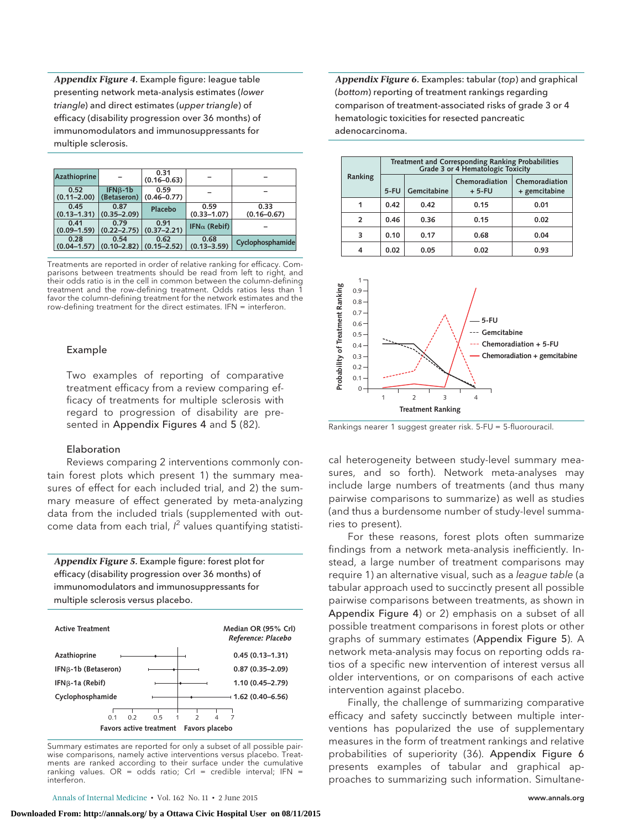*Appendix Figure 4.* Example figure: league table presenting network meta-analysis estimates (lower triangle) and direct estimates (upper triangle) of efficacy (disability progression over 36 months) of immunomodulators and immunosuppressants for multiple sclerosis.

| Azathioprine                                      |                          | 0.31<br>$(0.16 - 0.63)$ |                         |                         |
|---------------------------------------------------|--------------------------|-------------------------|-------------------------|-------------------------|
| 0.52<br>$(0.11 - 2.00)$                           | $IFNB-1b$<br>(Betaseron) | 0.59<br>$(0.46 - 0.77)$ |                         |                         |
| 0.45<br>$(0.13 - 1.31)$                           | 0.87<br>$(0.35 - 2.09)$  | Placebo                 | 0.59<br>$(0.33 - 1.07)$ | 0.33<br>$(0.16 - 0.67)$ |
| 0.41<br>$(0.09 - 1.59)$                           | 0.79<br>$(0.22 - 2.75)$  | 0.91<br>$(0.37 - 2.21)$ | IFN $\alpha$ (Rebif)    |                         |
| 0.28<br>$(0.04-1.57)$ $(0.10-2.82)$ $(0.15-2.52)$ | 0.54                     | 0.62                    | 0.68<br>$(0.13 - 3.59)$ | Cyclophosphamide        |

Treatments are reported in order of relative ranking for efficacy. Comparisons between treatments should be read from left to right, and their odds ratio is in the cell in common between the column-defining treatment and the row-defining treatment. Odds ratios less than 1 favor the column-defining treatment for the network estimates and the row-defining treatment for the direct estimates. IFN = interferon.

## Example

Two examples of reporting of comparative treatment efficacy from a review comparing efficacy of treatments for multiple sclerosis with regard to progression of disability are presented in Appendix Figures 4 and 5 (82).

#### Elaboration

Reviews comparing 2 interventions commonly contain forest plots which present 1) the summary measures of effect for each included trial, and 2) the summary measure of effect generated by meta-analyzing data from the included trials (supplemented with outcome data from each trial,  $l^2$  values quantifying statisti-

*Appendix Figure 5.* Example figure: forest plot for efficacy (disability progression over 36 months) of immunomodulators and immunosuppressants for multiple sclerosis versus placebo.



Summary estimates are reported for only a subset of all possible pairwise comparisons, namely active interventions versus placebo. Treatments are ranked according to their surface under the cumulative ranking values. OR = odds ratio; CrI = credible interval; IFN = interferon.

*Appendix Figure 6.* Examples: tabular (top) and graphical (bottom) reporting of treatment rankings regarding comparison of treatment-associated risks of grade 3 or 4 hematologic toxicities for resected pancreatic adenocarcinoma.

| Ranking        | Treatment and Corresponding Ranking Probabilities<br>Grade 3 or 4 Hematologic Toxicity |             |                           |                                 |  |  |  |  |
|----------------|----------------------------------------------------------------------------------------|-------------|---------------------------|---------------------------------|--|--|--|--|
|                | $5-FU$                                                                                 | Gemcitabine | Chemoradiation<br>$+5-FU$ | Chemoradiation<br>+ gemcitabine |  |  |  |  |
| 1              | 0.42                                                                                   | 0.42        | 0.15                      | 0.01                            |  |  |  |  |
| $\overline{2}$ | 0.46                                                                                   | 0.36        | 0.15                      | 0.02                            |  |  |  |  |
| 3              | 0.10                                                                                   | 0.17        | 0.68                      | 0.04                            |  |  |  |  |
|                | 0.02                                                                                   | 0.05        | 0.02                      | 0.93                            |  |  |  |  |



Rankings nearer 1 suggest greater risk. 5-FU = 5-fluorouracil.

cal heterogeneity between study-level summary measures, and so forth). Network meta-analyses may include large numbers of treatments (and thus many pairwise comparisons to summarize) as well as studies (and thus a burdensome number of study-level summaries to present).

For these reasons, forest plots often summarize findings from a network meta-analysis inefficiently. Instead, a large number of treatment comparisons may require 1) an alternative visual, such as a league table (a tabular approach used to succinctly present all possible pairwise comparisons between treatments, as shown in Appendix Figure 4) or 2) emphasis on a subset of all possible treatment comparisons in forest plots or other graphs of summary estimates (Appendix Figure 5). A network meta-analysis may focus on reporting odds ratios of a specific new intervention of interest versus all older interventions, or on comparisons of each active intervention against placebo.

Finally, the challenge of summarizing comparative efficacy and safety succinctly between multiple interventions has popularized the use of supplementary measures in the form of treatment rankings and relative probabilities of superiority (36). Appendix Figure 6 presents examples of tabular and graphical approaches to summarizing such information. Simultane-

Annals of Internal Medicine • Vol. 162 No. 11 • 2 June 2015 **www.annals.org** www.annals.org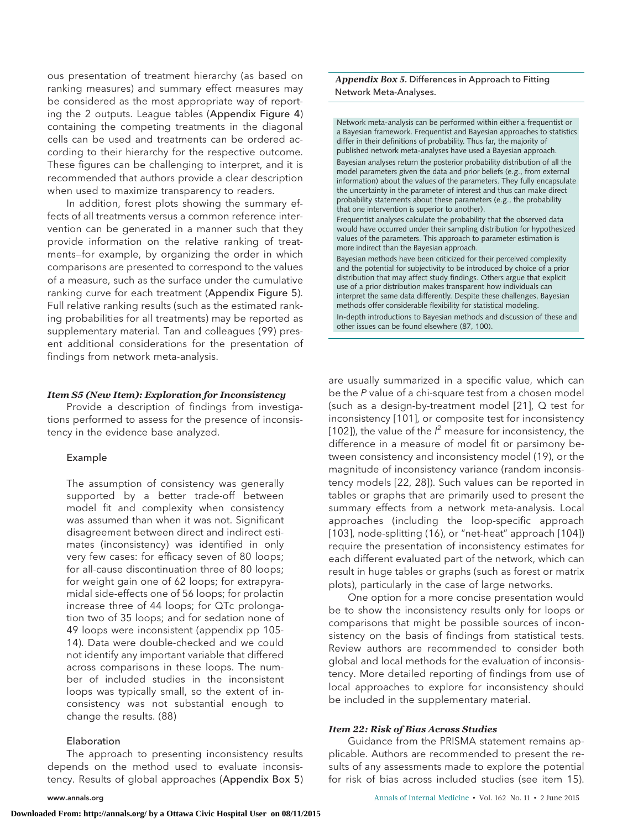ous presentation of treatment hierarchy (as based on ranking measures) and summary effect measures may be considered as the most appropriate way of reporting the 2 outputs. League tables (Appendix Figure 4) containing the competing treatments in the diagonal cells can be used and treatments can be ordered according to their hierarchy for the respective outcome. These figures can be challenging to interpret, and it is recommended that authors provide a clear description when used to maximize transparency to readers.

In addition, forest plots showing the summary effects of all treatments versus a common reference intervention can be generated in a manner such that they provide information on the relative ranking of treatments—for example, by organizing the order in which comparisons are presented to correspond to the values of a measure, such as the surface under the cumulative ranking curve for each treatment (Appendix Figure 5). Full relative ranking results (such as the estimated ranking probabilities for all treatments) may be reported as supplementary material. Tan and colleagues (99) present additional considerations for the presentation of findings from network meta-analysis.

#### *Item S5 (New Item): Exploration for Inconsistency*

Provide a description of findings from investigations performed to assess for the presence of inconsistency in the evidence base analyzed.

#### Example

The assumption of consistency was generally supported by a better trade-off between model fit and complexity when consistency was assumed than when it was not. Significant disagreement between direct and indirect estimates (inconsistency) was identified in only very few cases: for efficacy seven of 80 loops; for all-cause discontinuation three of 80 loops; for weight gain one of 62 loops; for extrapyramidal side-effects one of 56 loops; for prolactin increase three of 44 loops; for QTc prolongation two of 35 loops; and for sedation none of 49 loops were inconsistent (appendix pp 105- 14). Data were double-checked and we could not identify any important variable that differed across comparisons in these loops. The number of included studies in the inconsistent loops was typically small, so the extent of inconsistency was not substantial enough to change the results. (88)

#### Elaboration

The approach to presenting inconsistency results depends on the method used to evaluate inconsistency. Results of global approaches (Appendix Box 5)

*Appendix Box 5.* Differences in Approach to Fitting Network Meta-Analyses.

Network meta-analysis can be performed within either a frequentist or a Bayesian framework. Frequentist and Bayesian approaches to statistics differ in their definitions of probability. Thus far, the majority of published network meta-analyses have used a Bayesian approach. Bayesian analyses return the posterior probability distribution of all the model parameters given the data and prior beliefs (e.g., from external information) about the values of the parameters. They fully encapsulate the uncertainty in the parameter of interest and thus can make direct probability statements about these parameters (e.g., the probability that one intervention is superior to another). Frequentist analyses calculate the probability that the observed data would have occurred under their sampling distribution for hypothesized values of the parameters. This approach to parameter estimation is more indirect than the Bayesian approach. Bayesian methods have been criticized for their perceived complexity and the potential for subjectivity to be introduced by choice of a prior distribution that may affect study findings. Others argue that explicit use of a prior distribution makes transparent how individuals can interpret the same data differently. Despite these challenges, Bayesian methods offer considerable flexibility for statistical modeling. In-depth introductions to Bayesian methods and discussion of these and other issues can be found elsewhere (87, 100).

are usually summarized in a specific value, which can be the P value of a chi-square test from a chosen model (such as a design-by-treatment model [21], Q test for inconsistency [101], or composite test for inconsistency [102]), the value of the  $l^2$  measure for inconsistency, the difference in a measure of model fit or parsimony between consistency and inconsistency model (19), or the magnitude of inconsistency variance (random inconsistency models [22, 28]). Such values can be reported in tables or graphs that are primarily used to present the summary effects from a network meta-analysis. Local approaches (including the loop-specific approach [103], node-splitting (16), or "net-heat" approach [104]) require the presentation of inconsistency estimates for each different evaluated part of the network, which can result in huge tables or graphs (such as forest or matrix plots), particularly in the case of large networks.

One option for a more concise presentation would be to show the inconsistency results only for loops or comparisons that might be possible sources of inconsistency on the basis of findings from statistical tests. Review authors are recommended to consider both global and local methods for the evaluation of inconsistency. More detailed reporting of findings from use of local approaches to explore for inconsistency should be included in the supplementary material.

#### *Item 22: Risk of Bias Across Studies*

Guidance from the PRISMA statement remains applicable. Authors are recommended to present the results of any assessments made to explore the potential for risk of bias across included studies (see item 15).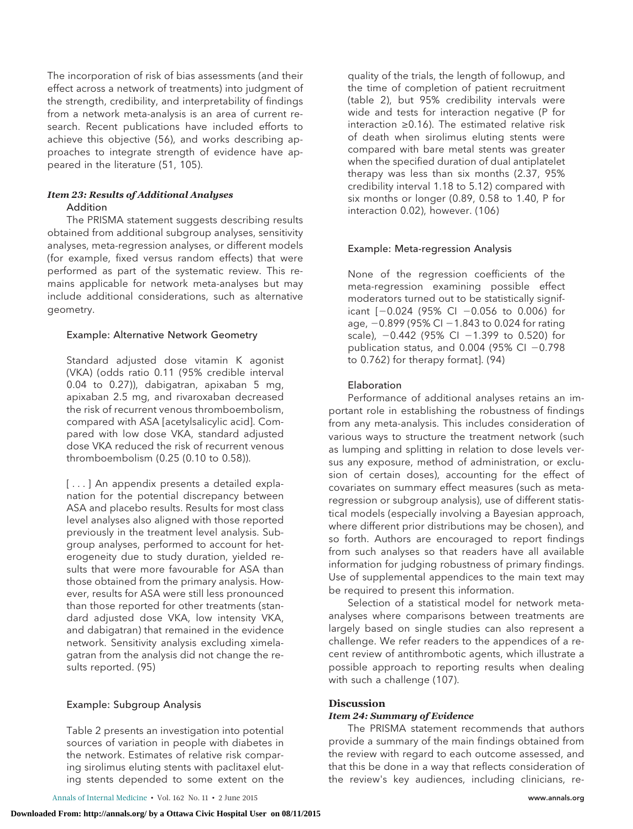The incorporation of risk of bias assessments (and their effect across a network of treatments) into judgment of the strength, credibility, and interpretability of findings from a network meta-analysis is an area of current research. Recent publications have included efforts to achieve this objective (56), and works describing approaches to integrate strength of evidence have appeared in the literature (51, 105).

# *Item 23: Results of Additional Analyses*

# Addition

The PRISMA statement suggests describing results obtained from additional subgroup analyses, sensitivity analyses, meta-regression analyses, or different models (for example, fixed versus random effects) that were performed as part of the systematic review. This remains applicable for network meta-analyses but may include additional considerations, such as alternative geometry.

# Example: Alternative Network Geometry

Standard adjusted dose vitamin K agonist (VKA) (odds ratio 0.11 (95% credible interval 0.04 to 0.27)), dabigatran, apixaban 5 mg, apixaban 2.5 mg, and rivaroxaban decreased the risk of recurrent venous thromboembolism, compared with ASA [acetylsalicylic acid]. Compared with low dose VKA, standard adjusted dose VKA reduced the risk of recurrent venous thromboembolism (0.25 (0.10 to 0.58)).

[...] An appendix presents a detailed explanation for the potential discrepancy between ASA and placebo results. Results for most class level analyses also aligned with those reported previously in the treatment level analysis. Subgroup analyses, performed to account for heterogeneity due to study duration, yielded results that were more favourable for ASA than those obtained from the primary analysis. However, results for ASA were still less pronounced than those reported for other treatments (standard adjusted dose VKA, low intensity VKA, and dabigatran) that remained in the evidence network. Sensitivity analysis excluding ximelagatran from the analysis did not change the results reported. (95)

#### Example: Subgroup Analysis

Table 2 presents an investigation into potential sources of variation in people with diabetes in the network. Estimates of relative risk comparing sirolimus eluting stents with paclitaxel eluting stents depended to some extent on the

quality of the trials, the length of followup, and the time of completion of patient recruitment (table 2), but 95% credibility intervals were wide and tests for interaction negative (P for interaction ≥0.16). The estimated relative risk of death when sirolimus eluting stents were compared with bare metal stents was greater when the specified duration of dual antiplatelet therapy was less than six months (2.37, 95% credibility interval 1.18 to 5.12) compared with six months or longer (0.89, 0.58 to 1.40, P for interaction 0.02), however. (106)

# Example: Meta-regression Analysis

None of the regression coefficients of the meta-regression examining possible effect moderators turned out to be statistically significant [-0.024 (95% CI -0.056 to 0.006) for age, –0.899 (95% CI –1.843 to 0.024 for rating scale),  $-0.442$  (95% CI  $-1.399$  to 0.520) for publication status, and 0.004 (95% CI -0.798 to 0.762) for therapy format]. (94)

## Elaboration

Performance of additional analyses retains an important role in establishing the robustness of findings from any meta-analysis. This includes consideration of various ways to structure the treatment network (such as lumping and splitting in relation to dose levels versus any exposure, method of administration, or exclusion of certain doses), accounting for the effect of covariates on summary effect measures (such as metaregression or subgroup analysis), use of different statistical models (especially involving a Bayesian approach, where different prior distributions may be chosen), and so forth. Authors are encouraged to report findings from such analyses so that readers have all available information for judging robustness of primary findings. Use of supplemental appendices to the main text may be required to present this information.

Selection of a statistical model for network metaanalyses where comparisons between treatments are largely based on single studies can also represent a challenge. We refer readers to the appendices of a recent review of antithrombotic agents, which illustrate a possible approach to reporting results when dealing with such a challenge (107).

# **Discussion**

#### *Item 24: Summary of Evidence*

The PRISMA statement recommends that authors provide a summary of the main findings obtained from the review with regard to each outcome assessed, and that this be done in a way that reflects consideration of the review's key audiences, including clinicians, re-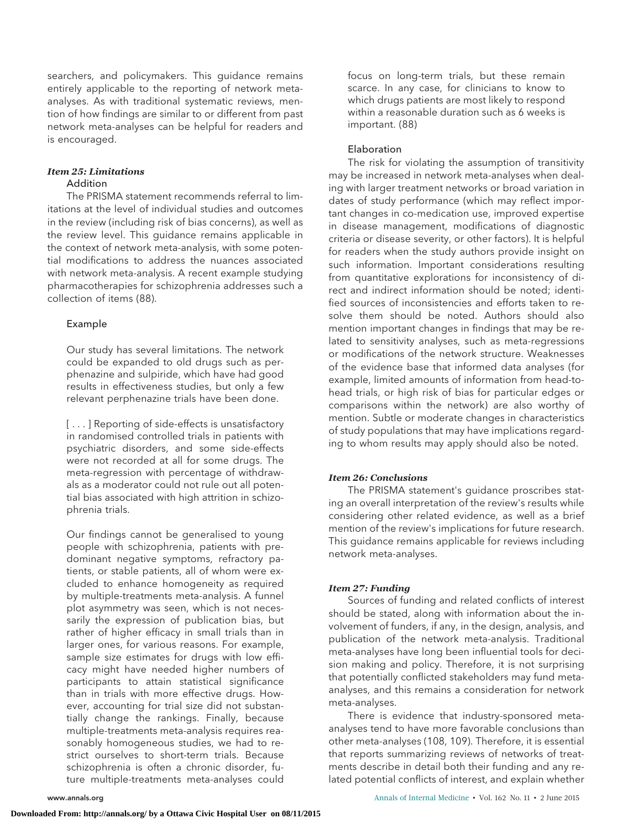searchers, and policymakers. This guidance remains entirely applicable to the reporting of network metaanalyses. As with traditional systematic reviews, mention of how findings are similar to or different from past network meta-analyses can be helpful for readers and is encouraged.

## *Item 25: Limitations* **Addition**

The PRISMA statement recommends referral to limitations at the level of individual studies and outcomes in the review (including risk of bias concerns), as well as the review level. This guidance remains applicable in the context of network meta-analysis, with some potential modifications to address the nuances associated with network meta-analysis. A recent example studying pharmacotherapies for schizophrenia addresses such a collection of items (88).

# Example

Our study has several limitations. The network could be expanded to old drugs such as perphenazine and sulpiride, which have had good results in effectiveness studies, but only a few relevant perphenazine trials have been done.

[...] Reporting of side-effects is unsatisfactory in randomised controlled trials in patients with psychiatric disorders, and some side-effects were not recorded at all for some drugs. The meta-regression with percentage of withdrawals as a moderator could not rule out all potential bias associated with high attrition in schizophrenia trials.

Our findings cannot be generalised to young people with schizophrenia, patients with predominant negative symptoms, refractory patients, or stable patients, all of whom were excluded to enhance homogeneity as required by multiple-treatments meta-analysis. A funnel plot asymmetry was seen, which is not necessarily the expression of publication bias, but rather of higher efficacy in small trials than in larger ones, for various reasons. For example, sample size estimates for drugs with low efficacy might have needed higher numbers of participants to attain statistical significance than in trials with more effective drugs. However, accounting for trial size did not substantially change the rankings. Finally, because multiple-treatments meta-analysis requires reasonably homogeneous studies, we had to restrict ourselves to short-term trials. Because schizophrenia is often a chronic disorder, future multiple-treatments meta-analyses could

focus on long-term trials, but these remain scarce. In any case, for clinicians to know to which drugs patients are most likely to respond within a reasonable duration such as 6 weeks is important. (88)

# Elaboration

The risk for violating the assumption of transitivity may be increased in network meta-analyses when dealing with larger treatment networks or broad variation in dates of study performance (which may reflect important changes in co-medication use, improved expertise in disease management, modifications of diagnostic criteria or disease severity, or other factors). It is helpful for readers when the study authors provide insight on such information. Important considerations resulting from quantitative explorations for inconsistency of direct and indirect information should be noted; identified sources of inconsistencies and efforts taken to resolve them should be noted. Authors should also mention important changes in findings that may be related to sensitivity analyses, such as meta-regressions or modifications of the network structure. Weaknesses of the evidence base that informed data analyses (for example, limited amounts of information from head-tohead trials, or high risk of bias for particular edges or comparisons within the network) are also worthy of mention. Subtle or moderate changes in characteristics of study populations that may have implications regarding to whom results may apply should also be noted.

# *Item 26: Conclusions*

The PRISMA statement's guidance proscribes stating an overall interpretation of the review's results while considering other related evidence, as well as a brief mention of the review's implications for future research. This guidance remains applicable for reviews including network meta-analyses.

# *Item 27: Funding*

Sources of funding and related conflicts of interest should be stated, along with information about the involvement of funders, if any, in the design, analysis, and publication of the network meta-analysis. Traditional meta-analyses have long been influential tools for decision making and policy. Therefore, it is not surprising that potentially conflicted stakeholders may fund metaanalyses, and this remains a consideration for network meta-analyses.

There is evidence that industry-sponsored metaanalyses tend to have more favorable conclusions than other meta-analyses (108, 109). Therefore, it is essential that reports summarizing reviews of networks of treatments describe in detail both their funding and any related potential conflicts of interest, and explain whether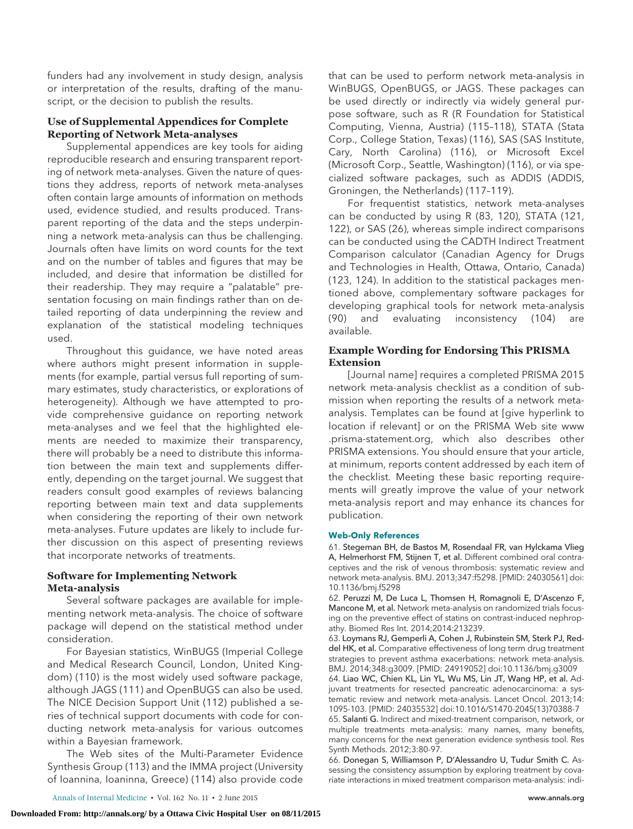funders had any involvement in study design, analysis or interpretation of the results, drafting of the manuscript, or the decision to publish the results.

# **Use of Supplemental Appendices for Complete Reporting of Network Meta-analyses**

Supplemental appendices are key tools for aiding reproducible research and ensuring transparent reporting of network meta-analyses. Given the nature of questions they address, reports of network meta-analyses often contain large amounts of information on methods used, evidence studied, and results produced. Transparent reporting of the data and the steps underpinning a network meta-analysis can thus be challenging. Journals often have limits on word counts for the text and on the number of tables and figures that may be included, and desire that information be distilled for their readership. They may require a "palatable" presentation focusing on main findings rather than on detailed reporting of data underpinning the review and explanation of the statistical modeling techniques used.

Throughout this guidance, we have noted areas where authors might present information in supplements (for example, partial versus full reporting of summary estimates, study characteristics, or explorations of heterogeneity). Although we have attempted to provide comprehensive guidance on reporting network meta-analyses and we feel that the highlighted elements are needed to maximize their transparency, there will probably be a need to distribute this information between the main text and supplements differently, depending on the target journal. We suggest that readers consult good examples of reviews balancing reporting between main text and data supplements when considering the reporting of their own network meta-analyses. Future updates are likely to include further discussion on this aspect of presenting reviews that incorporate networks of treatments.

# **Software for Implementing Network Meta-analysis**

Several software packages are available for implementing network meta-analysis. The choice of software package will depend on the statistical method under consideration.

For Bayesian statistics, WinBUGS (Imperial College and Medical Research Council, London, United Kingdom) (110) is the most widely used software package, although JAGS (111) and OpenBUGS can also be used. The NICE Decision Support Unit (112) published a series of technical support documents with code for conducting network meta-analysis for various outcomes within a Bayesian framework.

The Web sites of the Multi-Parameter Evidence Synthesis Group (113) and the IMMA project (University of Ioannina, Ioaninna, Greece) (114) also provide code

that can be used to perform network meta-analysis in WinBUGS, OpenBUGS, or JAGS. These packages can be used directly or indirectly via widely general purpose software, such as R (R Foundation for Statistical Computing, Vienna, Austria) (115–118), STATA (Stata Corp., College Station, Texas) (116), SAS (SAS Institute, Cary, North Carolina) (116), or Microsoft Excel (Microsoft Corp., Seattle, Washington) (116), or via specialized software packages, such as ADDIS (ADDIS, Groningen, the Netherlands) (117–119).

For frequentist statistics, network meta-analyses can be conducted by using R (83, 120), STATA (121, 122), or SAS (26), whereas simple indirect comparisons can be conducted using the CADTH Indirect Treatment Comparison calculator (Canadian Agency for Drugs and Technologies in Health, Ottawa, Ontario, Canada) (123, 124). In addition to the statistical packages mentioned above, complementary software packages for developing graphical tools for network meta-analysis (90) and evaluating inconsistency (104) are available.

# **Example Wording for Endorsing This PRISMA Extension**

[Journal name] requires a completed PRISMA 2015 network meta-analysis checklist as a condition of submission when reporting the results of a network metaanalysis. Templates can be found at [give hyperlink to location if relevant] or on the PRISMA Web site [www](http://www.prisma-statement.org) [.prisma-statement.org,](http://www.prisma-statement.org) which also describes other PRISMA extensions. You should ensure that your article, at minimum, reports content addressed by each item of the checklist. Meeting these basic reporting requirements will greatly improve the value of your network meta-analysis report and may enhance its chances for publication.

#### **Web-Only References**

61. Stegeman BH, de Bastos M, Rosendaal FR, van Hylckama Vlieg A, Helmerhorst FM, Stijnen T, et al. Different combined oral contraceptives and the risk of venous thrombosis: systematic review and network meta-analysis. BMJ. 2013;347:f5298. [PMID: 24030561] doi: 10.1136/bmj.f5298

62. Peruzzi M, De Luca L, Thomsen H, Romagnoli E, D'Ascenzo F, Mancone M, et al. Network meta-analysis on randomized trials focusing on the preventive effect of statins on contrast-induced nephropathy. Biomed Res Int. 2014;2014:213239.

63. Loymans RJ, Gemperli A, Cohen J, Rubinstein SM, Sterk PJ, Reddel HK, et al. Comparative effectiveness of long term drug treatment strategies to prevent asthma exacerbations: network meta-analysis. BMJ. 2014;348:g3009. [PMID: 24919052] doi:10.1136/bmj.g3009

64. Liao WC, Chien KL, Lin YL, Wu MS, Lin JT, Wang HP, et al. Adjuvant treatments for resected pancreatic adenocarcinoma: a systematic review and network meta-analysis. Lancet Oncol. 2013;14: 1095-103. [PMID: 24035532] doi:10.1016/S1470-2045(13)70388-7

65. Salanti G. Indirect and mixed-treatment comparison, network, or multiple treatments meta-analysis: many names, many benefits, many concerns for the next generation evidence synthesis tool. Res Synth Methods. 2012;3:80-97.

66. Donegan S, Williamson P, D'Alessandro U, Tudur Smith C. Assessing the consistency assumption by exploring treatment by covariate interactions in mixed treatment comparison meta-analysis: indi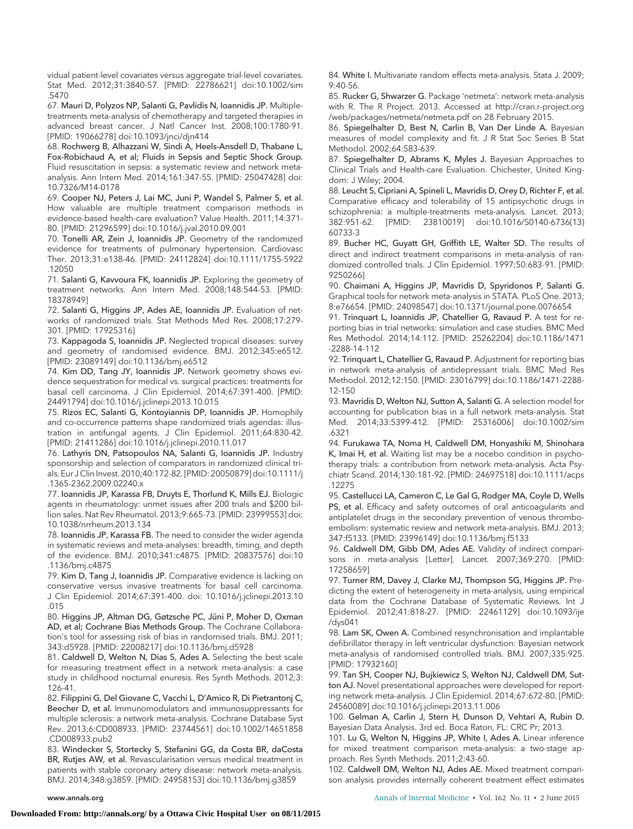vidual patient-level covariates versus aggregate trial-level covariates. Stat Med. 2012;31:3840-57. [PMID: 22786621] doi:10.1002/sim .5470

67. Mauri D, Polyzos NP, Salanti G, Pavlidis N, Ioannidis JP. Multipletreatments meta-analysis of chemotherapy and targeted therapies in advanced breast cancer. J Natl Cancer Inst. 2008;100:1780-91. [PMID: 19066278] doi:10.1093/jnci/djn414

68. Rochwerg B, Alhazzani W, Sindi A, Heels-Ansdell D, Thabane L, Fox-Robichaud A, et al; Fluids in Sepsis and Septic Shock Group. Fluid resuscitation in sepsis: a systematic review and network metaanalysis. Ann Intern Med. 2014;161:347-55. [PMID: 25047428] doi: 10.7326/M14-0178

69. Cooper NJ, Peters J, Lai MC, Juni P, Wandel S, Palmer S, et al. How valuable are multiple treatment comparison methods in evidence-based health-care evaluation? Value Health. 2011;14:371- 80. [PMID: 21296599] doi:10.1016/j.jval.2010.09.001

70. Tonelli AR, Zein J, Ioannidis JP. Geometry of the randomized evidence for treatments of pulmonary hypertension. Cardiovasc Ther. 2013;31:e138-46. [PMID: 24112824] doi:10.1111/1755-5922 .12050

71. Salanti G, Kavvoura FK, Ioannidis JP. Exploring the geometry of treatment networks. Ann Intern Med. 2008;148:544-53. [PMID: 18378949]

72. Salanti G, Higgins JP, Ades AE, Ioannidis JP. Evaluation of networks of randomized trials. Stat Methods Med Res. 2008;17:279- 301. [PMID: 17925316]

73. Kappagoda S, Ioannidis JP. Neglected tropical diseases: survey and geometry of randomised evidence. BMJ. 2012;345:e6512. [PMID: 23089149] doi:10.1136/bmj.e6512

74. Kim DD, Tang JY, Ioannidis JP. Network geometry shows evidence sequestration for medical vs. surgical practices: treatments for basal cell carcinoma. J Clin Epidemiol. 2014;67:391-400. [PMID: 24491794] doi:10.1016/j.jclinepi.2013.10.015

75. Rizos EC, Salanti G, Kontoyiannis DP, Ioannidis JP. Homophily and co-occurrence patterns shape randomized trials agendas: illustration in antifungal agents. J Clin Epidemiol. 2011;64:830-42. [PMID: 21411286] doi:10.1016/j.jclinepi.2010.11.017

76. Lathyris DN, Patsopoulos NA, Salanti G, Ioannidis JP. Industry sponsorship and selection of comparators in randomized clinical trials. Eur J Clin Invest. 2010;40:172-82. [PMID: 20050879] doi:10.1111/j .1365-2362.2009.02240.x

77. Ioannidis JP, Karassa FB, Druyts E, Thorlund K, Mills EJ. Biologic agents in rheumatology: unmet issues after 200 trials and \$200 billion sales. Nat Rev Rheumatol. 2013;9:665-73. [PMID: 23999553] doi: 10.1038/nrrheum.2013.134

78. Ioannidis JP, Karassa FB. The need to consider the wider agenda in systematic reviews and meta-analyses: breadth, timing, and depth of the evidence. BMJ. 2010;341:c4875. [PMID: 20837576] doi:10 .1136/bmj.c4875

79. Kim D, Tang J, Ioannidis JP. Comparative evidence is lacking on conservative versus invasive treatments for basal cell carcinoma. J Clin Epidemiol. 2014;67:391-400. doi: 10.1016/j.jclinepi.2013.10 .015

80. Higgins JP, Altman DG, Gøtzsche PC, Jüni P, Moher D, Oxman AD, et al; Cochrane Bias Methods Group. The Cochrane Collaboration's tool for assessing risk of bias in randomised trials. BMJ. 2011; 343:d5928. [PMID: 22008217] doi:10.1136/bmj.d5928

81. Caldwell D, Welton N, Dias S, Ades A. Selecting the best scale for measuring treatment effect in a network meta-analysis: a case study in childhood nocturnal enuresis. Res Synth Methods. 2012;3: 126-41.

82. Filippini G, Del Giovane C, Vacchi L, D'Amico R, Di Pietrantonj C, Beecher D, et al. Immunomodulators and immunosuppressants for multiple sclerosis: a network meta-analysis. Cochrane Database Syst Rev. 2013;6:CD008933. [PMID: 23744561] doi:10.1002/14651858 .CD008933.pub2

83. Windecker S, Stortecky S, Stefanini GG, da Costa BR, daCosta BR, Rutjes AW, et al. Revascularisation versus medical treatment in patients with stable coronary artery disease: network meta-analysis. BMJ. 2014;348:g3859. [PMID: 24958153] doi:10.1136/bmj.g3859

84. White I. Multivariate random effects meta-analysis. Stata J. 2009; 9:40-56.

85. Rucker G, Shwarzer G. Package 'netmeta': network meta-analysis with R. The R Project. 2013. Accessed at [http://cran.r-project.org](http://cran.r-project.org/web/packages/netmeta/netmeta.pdf) [/web/packages/netmeta/netmeta.pdf](http://cran.r-project.org/web/packages/netmeta/netmeta.pdf) on 28 February 2015.

86. Spiegelhalter D, Best N, Carlin B, Van Der Linde A. Bayesian measures of model complexity and fit. J R Stat Soc Series B Stat Methodol. 2002;64:583-639.

87. Spiegelhalter D, Abrams K, Myles J. Bayesian Approaches to Clinical Trials and Health-care Evaluation. Chichester, United Kingdom: J Wiley; 2004.

88. Leucht S, Cipriani A, Spineli L, Mavridis D, Orey D, Richter F, et al. Comparative efficacy and tolerability of 15 antipsychotic drugs in schizophrenia: a multiple-treatments meta-analysis. Lancet. 2013; 382:951-62. [PMID: 23810019] doi:10.1016/S0140-6736(13) 60733-3

89. Bucher HC, Guyatt GH, Griffith LE, Walter SD. The results of direct and indirect treatment comparisons in meta-analysis of randomized controlled trials. J Clin Epidemiol. 1997;50:683-91. [PMID: 9250266]

90. Chaimani A, Higgins JP, Mavridis D, Spyridonos P, Salanti G. Graphical tools for network meta-analysis in STATA. PLoS One. 2013; 8:e76654. [PMID: 24098547] doi:10.1371/journal.pone.0076654

91. Trinquart L, Ioannidis JP, Chatellier G, Ravaud P. A test for reporting bias in trial networks: simulation and case studies. BMC Med Res Methodol. 2014;14:112. [PMID: 25262204] doi:10.1186/1471 -2288-14-112

92. Trinquart L, Chatellier G, Ravaud P. Adjustment for reporting bias in network meta-analysis of antidepressant trials. BMC Med Res Methodol. 2012;12:150. [PMID: 23016799] doi:10.1186/1471-2288- 12-150

93. Mavridis D, Welton NJ, Sutton A, Salanti G. A selection model for accounting for publication bias in a full network meta-analysis. Stat Med. 2014;33:5399-412. [PMID: 25316006] doi:10.1002/sim .6321

94. Furukawa TA, Noma H, Caldwell DM, Honyashiki M, Shinohara K, Imai H, et al. Waiting list may be a nocebo condition in psychotherapy trials: a contribution from network meta-analysis. Acta Psychiatr Scand. 2014;130:181-92. [PMID: 24697518] doi:10.1111/acps .12275

95. Castellucci LA, Cameron C, Le Gal G, Rodger MA, Coyle D, Wells PS, et al. Efficacy and safety outcomes of oral anticoagulants and antiplatelet drugs in the secondary prevention of venous thromboembolism: systematic review and network meta-analysis. BMJ. 2013; 347:f5133. [PMID: 23996149] doi:10.1136/bmj.f5133

96. Caldwell DM, Gibb DM, Ades AE. Validity of indirect comparisons in meta-analysis [Letter]. Lancet. 2007;369:270. [PMID: 17258659]

97. Turner RM, Davey J, Clarke MJ, Thompson SG, Higgins JP. Predicting the extent of heterogeneity in meta-analysis, using empirical data from the Cochrane Database of Systematic Reviews. Int J Epidemiol. 2012;41:818-27. [PMID: 22461129] doi:10.1093/ije /dys041

98. Lam SK, Owen A. Combined resynchronisation and implantable defibrillator therapy in left ventricular dysfunction: Bayesian network meta-analysis of randomised controlled trials. BMJ. 2007;335:925. [PMID: 17932160]

99. Tan SH, Cooper NJ, Bujkiewicz S, Welton NJ, Caldwell DM, Sutton AJ. Novel presentational approaches were developed for reporting network meta-analysis. J Clin Epidemiol. 2014;67:672-80. [PMID: 24560089] doi:10.1016/j.jclinepi.2013.11.006

100. Gelman A, Carlin J, Stern H, Dunson D, Vehtari A, Rubin D. Bayesian Data Analysis. 3rd ed. Boca Raton, FL: CRC Pr; 2013.

101. Lu G, Welton N, Higgins JP, White I, Ades A. Linear inference for mixed treatment comparison meta-analysis: a two-stage approach. Res Synth Methods. 2011;2:43-60.

102. Caldwell DM, Welton NJ, Ades AE. Mixed treatment comparison analysis provides internally coherent treatment effect estimates